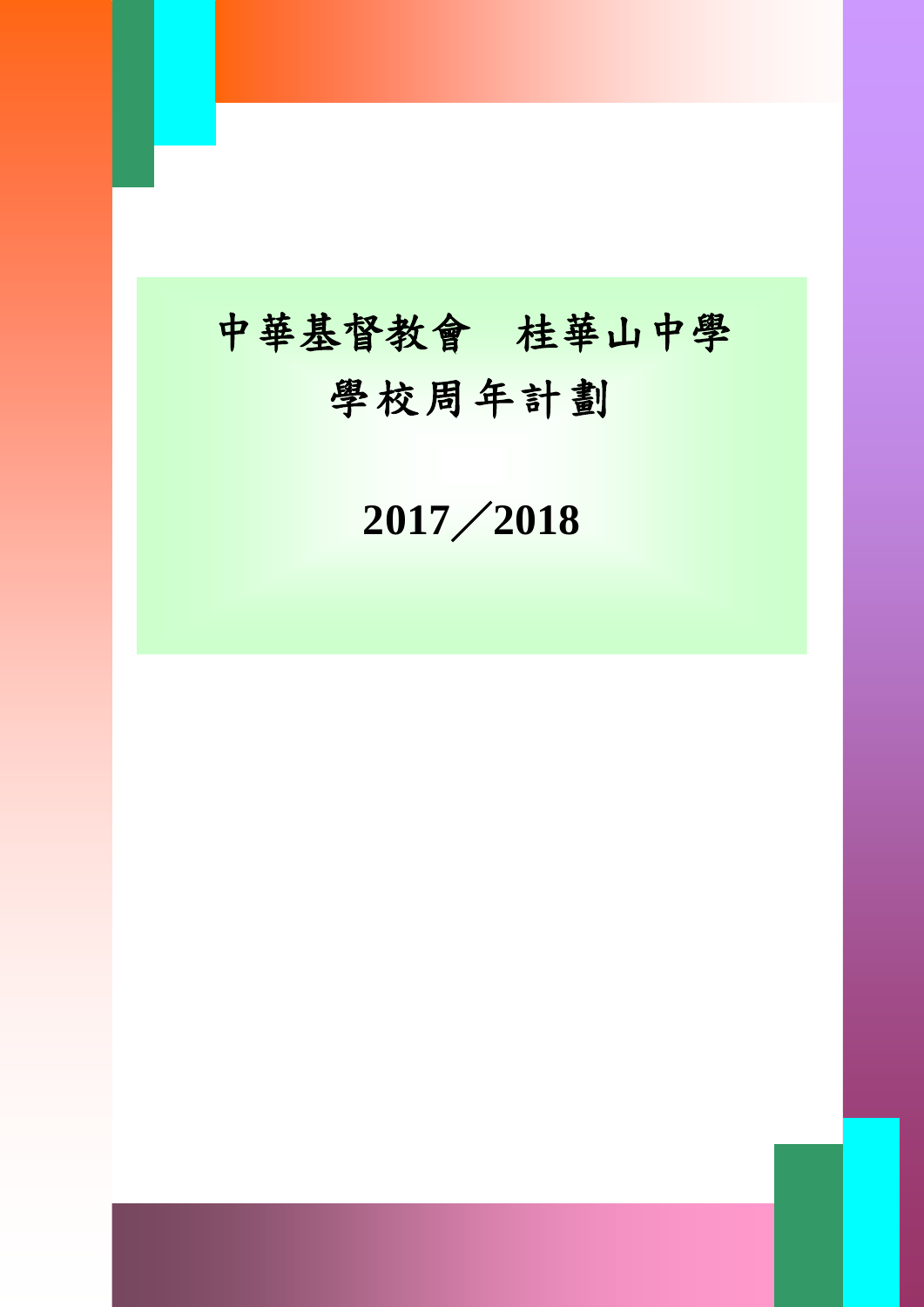# 中華基督教會 桂華山中學 學校周年計劃

I

《此範本適用於小學、中學及特殊學校》 ABC 學校 **2017**/**2018**

學校周年計劃 0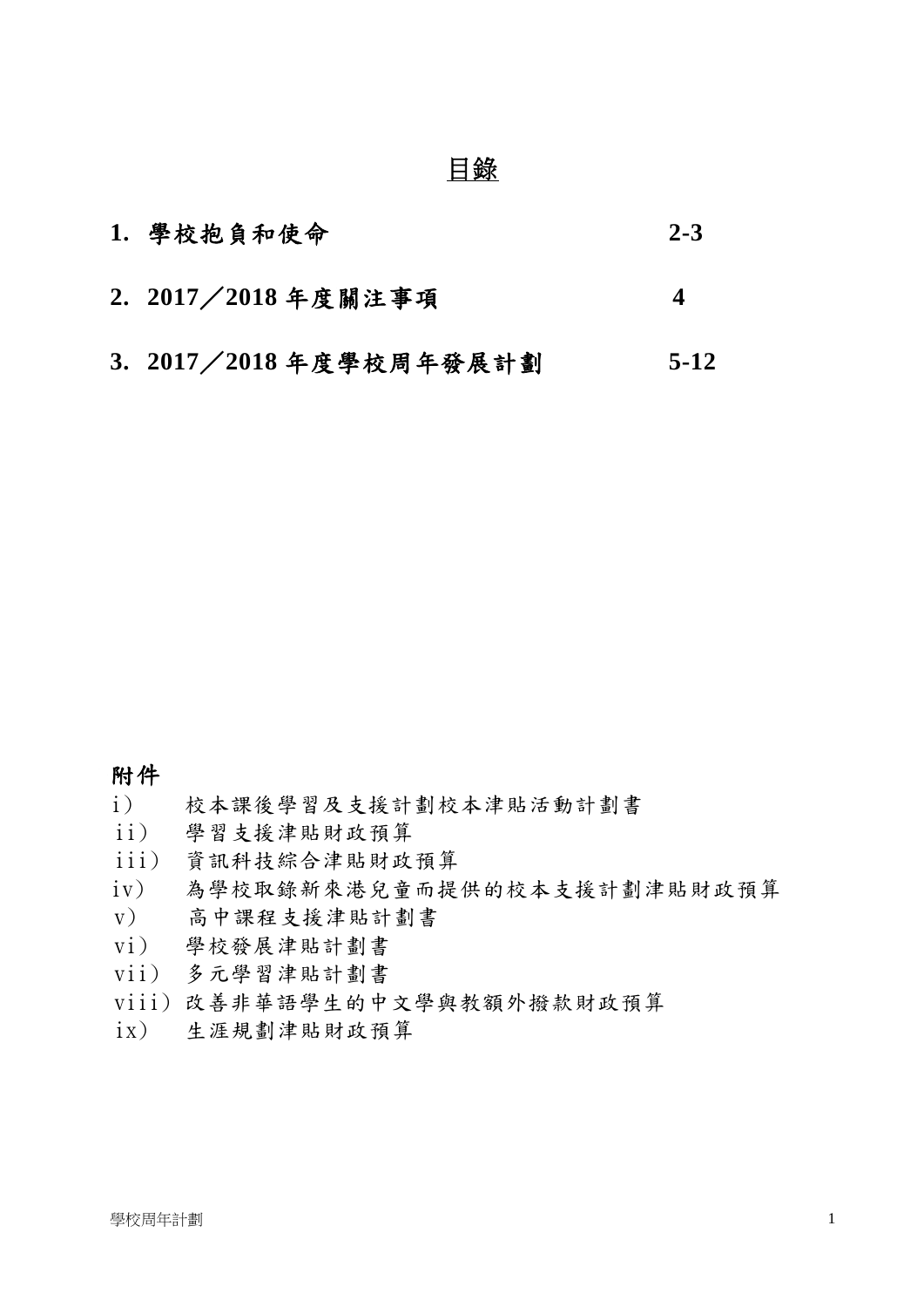# 目錄

| 1. 學校抱負和使命                | $2 - 3$ |
|---------------------------|---------|
| 2. 2017 / 2018 年度關注事項     | Δ       |
| 3. 2017 / 2018 年度學校周年發展計劃 | $5-12$  |

### 附件

- i) 校本課後學習及支援計劃校本津貼活動計劃書
- ii) 學習支援津貼財政預算
- iii) 資訊科技綜合津貼財政預算
- iv) 為學校取錄新來港兒童而提供的校本支援計劃津貼財政預算
- v) 高中課程支援津貼計劃書
- vi) 學校發展津貼計劃書
- vii) 多元學習津貼計劃書
- viii) 改善非華語學生的中文學與教額外撥款財政預算
- ix) 生涯規劃津貼財政預算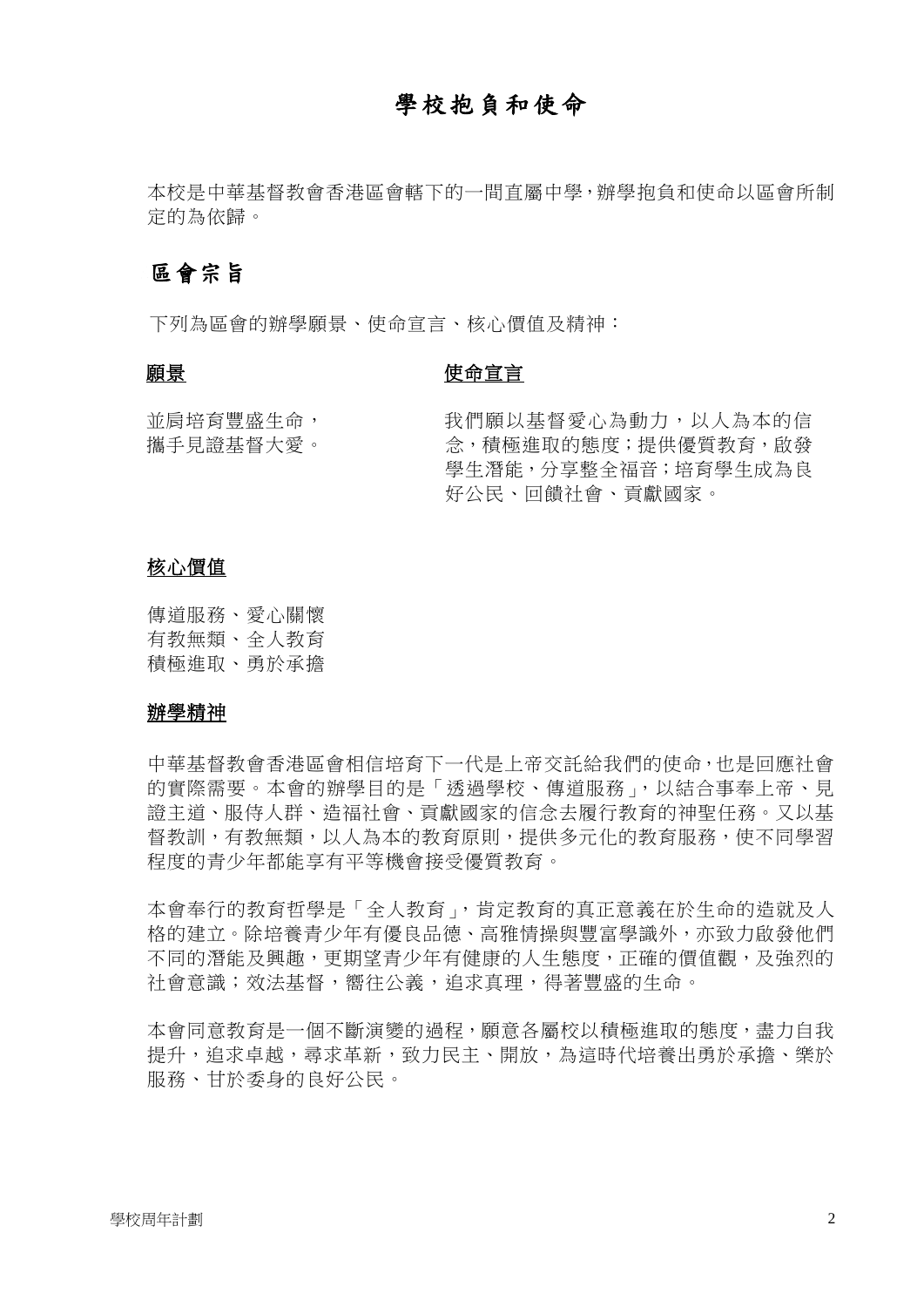## 學校抱負和使命

本校是中華基督教會香港區會轄下的一間直屬中學,辦學抱負和使命以區會所制 定的為依歸。

#### 區會宗旨

下列為區會的辦學願景、使命宣言、核心價值及精神:

#### 願景

#### 使命宣言

並肩培育豐盛生命, 攜手見證基督大愛。 我們願以基督愛心為動力,以人為本的信 念,積極進取的態度;提供優質教育,啟發 學生潛能,分享整全福音;培育學生成為良 好公民、回饋社會、貢獻國家。

#### 核心價值

傳道服務、愛心關懷 有教無類、全人教育 積極進取、勇於承擔

#### 辦學精神

中華基督教會香港區會相信培育下一代是上帝交託給我們的使命,也是回應社會 的實際需要。本會的辦學目的是「透過學校、傳道服務」,以結合事奉上帝、見 證主道、服侍人群、造福社會、貢獻國家的信念去履行教育的神聖任務。又以基 督教訓,有教無類,以人為本的教育原則,提供多元化的教育服務,使不同學習 程度的青少年都能享有平等機會接受優質教育。

本會奉行的教育哲學是「全人教育」,肯定教育的真正意義在於生命的造就及人 格的建立。除培養青少年有優良品德、高雅情操與豐富學識外,亦致力啟發他們 不同的潛能及興趣,更期望青少年有健康的人生態度,正確的價值觀,及強烈的 社會意識;效法基督,嚮往公義,追求真理,得著豐盛的生命。

本會同意教育是一個不斷演變的過程,願意各屬校以積極進取的態度,盡力自我 提升,追求卓越,尋求革新,致力民主、開放,為這時代培養出勇於承擔、樂於 服務、甘於委身的良好公民。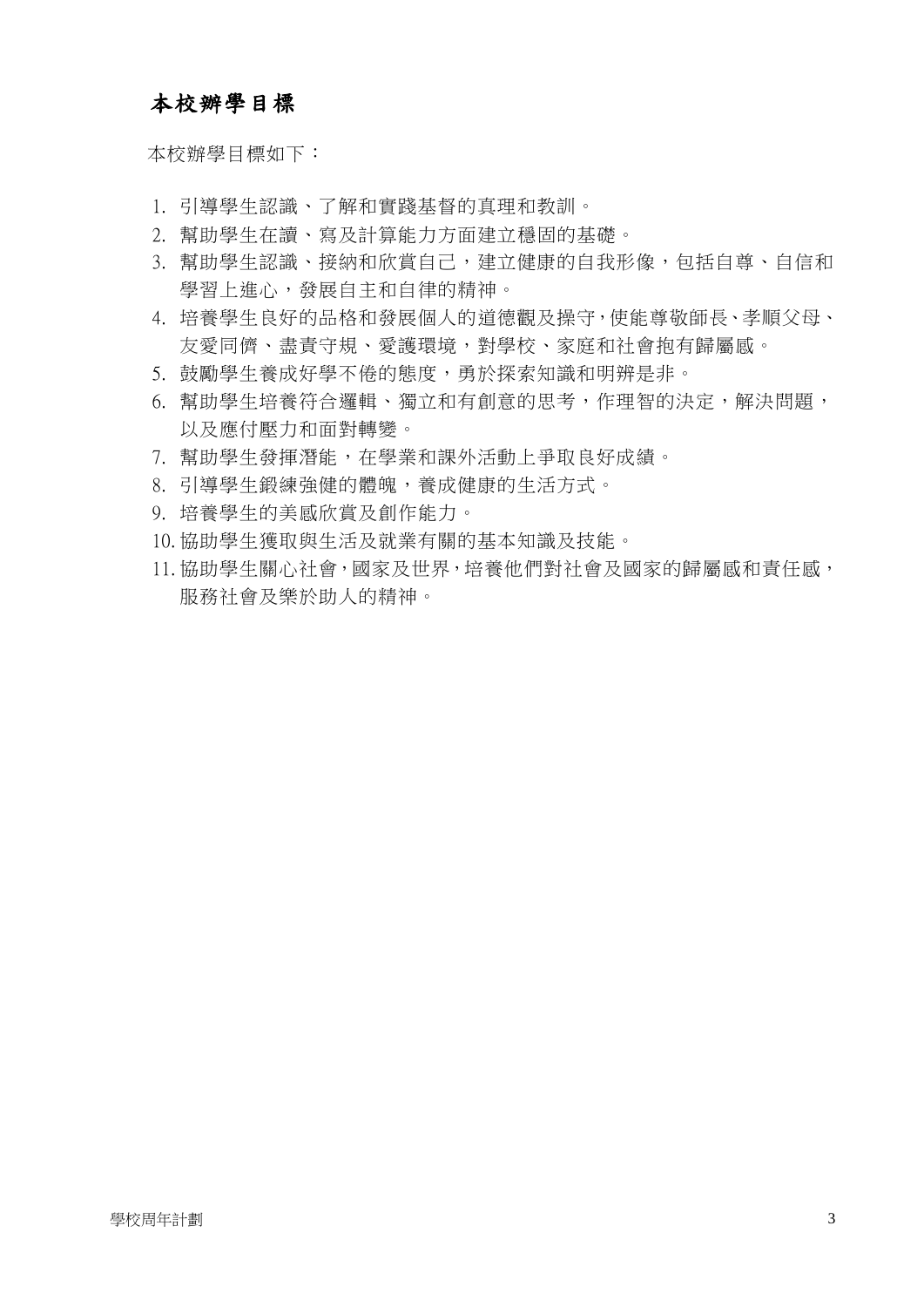## 本校辦學目標

本校辦學目標如下:

- 1. 引導學生認識、了解和實踐基督的真理和教訓。
- 2. 幫助學生在讀、寫及計算能力方面建立穩固的基礎。
- 3. 幫助學生認識、接納和欣賞自己,建立健康的自我形像,包括自尊、自信和 學習上進心,發展自主和自律的精神。
- 4. 培養學生良好的品格和發展個人的道德觀及操守,使能尊敬師長、孝順父母、 友愛同儕、盡責守規、愛護環境,對學校、家庭和社會抱有歸屬感。
- 5. 鼓勵學生養成好學不倦的態度,勇於探索知識和明辨是非。
- 6. 幫助學生培養符合邏輯、獨立和有創意的思考,作理智的決定,解決問題, 以及應付壓力和面對轉變。
- 7. 幫助學生發揮潛能,在學業和課外活動上爭取良好成績。
- 8. 引導學生鍛練強健的體魄,養成健康的生活方式。
- 9. 培養學生的美感欣賞及創作能力。
- 10. 協助學生獲取與生活及就業有關的基本知識及技能。
- 11. 協助學生關心社會,國家及世界,培養他們對社會及國家的歸屬感和責任感, 服務社會及樂於助人的精神。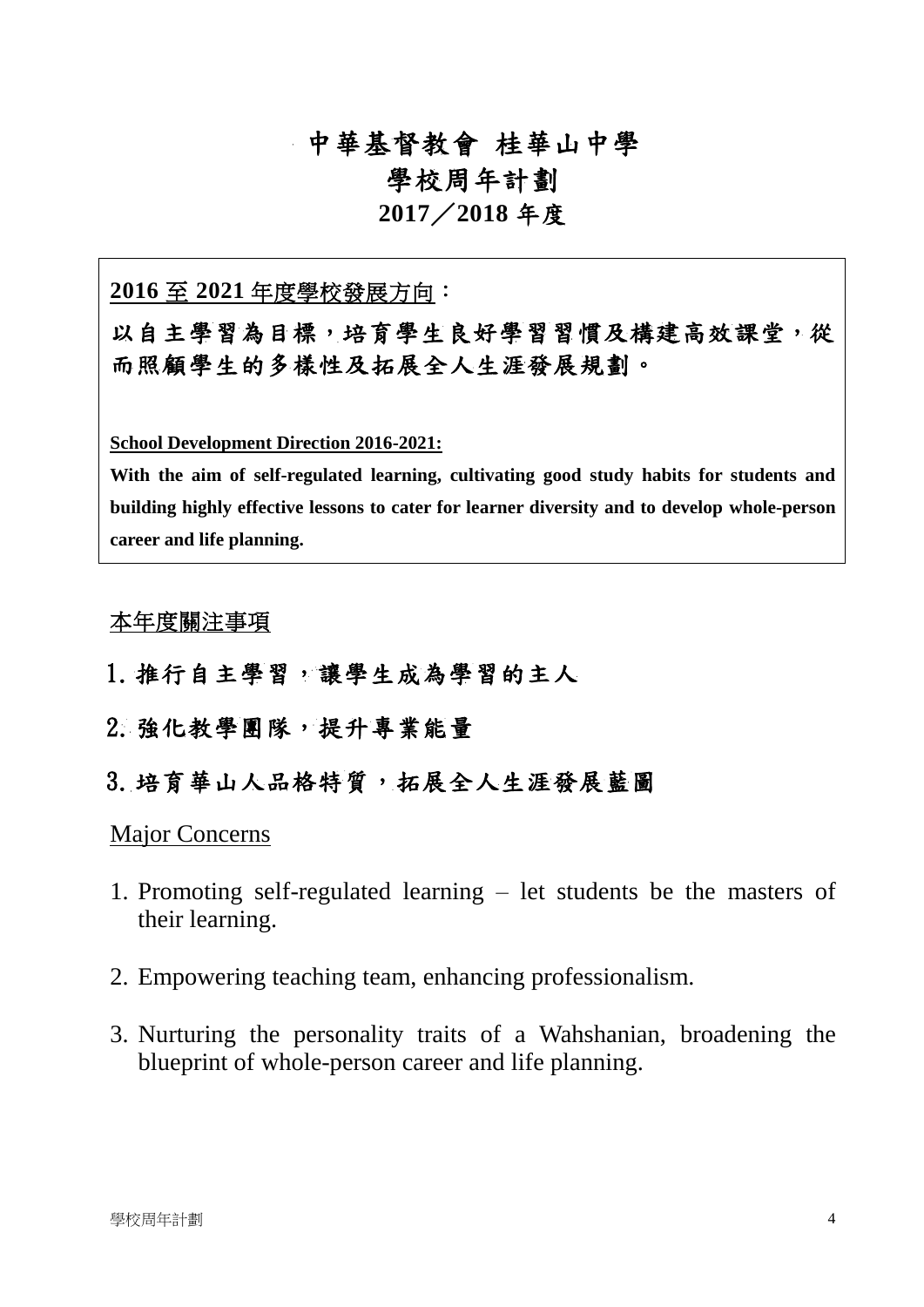## 中華基督教會 桂華山中學

## 學校周年計劃

### **2017**/**2018** 年度

#### **2016** 至 **2021** 年度學校發展方向:

以自主學習為目標,培育學生良好學習習慣及構建高效課堂,從 而照顧學生的多樣性及拓展全人生涯發展規劃。

**School Development Direction 2016-2021:**

**With the aim of self-regulated learning, cultivating good study habits for students and building highly effective lessons to cater for learner diversity and to develop whole-person career and life planning.**

#### 本年度關注事項

- 1.推行自主學習,讓學生成為學習的主人
- 2.強化教學團隊,提升專業能量
- 3. 培育華山人品格特質,拓展全人生涯發展藍圖

#### Major Concerns

- 1. Promoting self-regulated learning let students be the masters of their learning.
- 2. Empowering teaching team, enhancing professionalism.
- 3. Nurturing the personality traits of a Wahshanian, broadening the blueprint of whole-person career and life planning.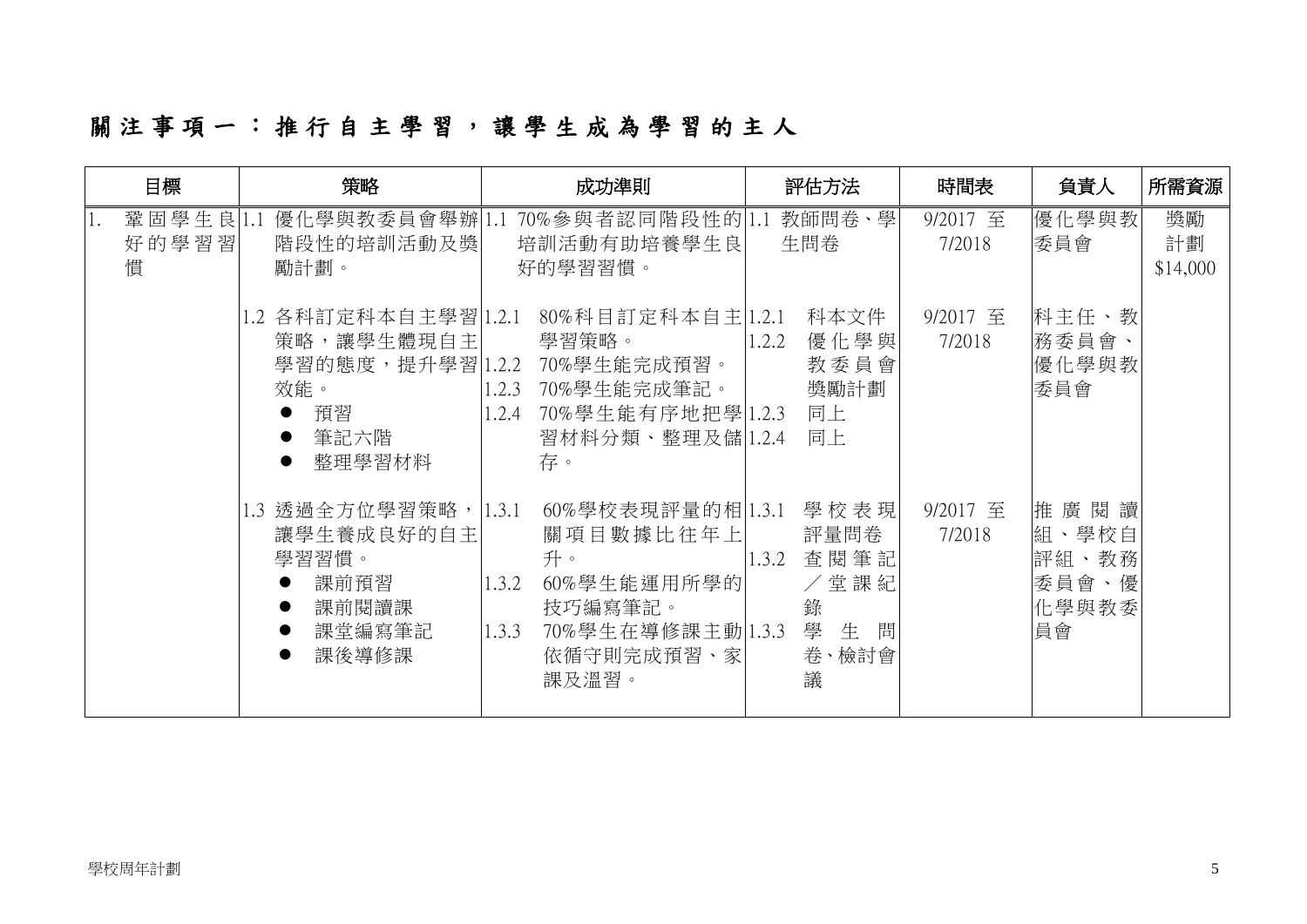# 關注事項 一 : 推 行 自 主 學 習 , 讓 學 生 成 為 學 習 的 主 人

| 目標                      | 策略<br>成功準則                                                                      |                                                                                                                                            | 評估方法                                                                    | 時間表                      | 負責人                                            | 所需資源                 |
|-------------------------|---------------------------------------------------------------------------------|--------------------------------------------------------------------------------------------------------------------------------------------|-------------------------------------------------------------------------|--------------------------|------------------------------------------------|----------------------|
| 鞏固學生良 1.1<br>好的學習習<br>慣 | 階段性的培訓活動及獎<br>勵計劃。                                                              | 優化學與教委員會舉辦 1.1 70%參與者認同階段性的 1.1<br>培訓活動有助培養學生良<br>好的學習習慣。                                                                                  | 教師問卷、學<br>生問卷                                                           | 9/2017 至<br>7/2018       | 優化學與教<br>委員會                                   | 獎勵<br>計劃<br>\$14,000 |
|                         | 1.2 各科訂定科本自主學習 1.2.1<br>策略,讓學生體現自主<br>效能。<br>預習<br>筆記六階<br>整理學習材料               | 80%科目訂定科本自主 1.2.1<br>學習策略。<br>學習的態度,提升學習 1.2.2 70%學生能完成預習。<br>70%學生能完成筆記。<br>1.2.3<br>70%學生能有序地把學 1.2.3<br>1.2.4<br>習材料分類、整理及儲 1.2.4<br>存。 | 科本文件<br>優化學與<br>1.2.2<br>教委員會<br>獎勵計劃<br>同上<br>同上                       | 9/2017 至<br>7/2018       | 科主任、教<br>務委員會、<br>優化學與教<br>委員會                 |                      |
|                         | 1.3 透過全方位學習策略, 1.3.1<br>讓學生養成良好的自主<br>學習習慣。<br>課前預習<br>課前閱讀課<br>課堂編寫筆記<br>課後導修課 | 60%學校表現評量的相 1.3.1<br>關項目數據比往年上<br>升。<br>60%學生能運用所學的<br>1.3.2<br>技巧編寫筆記。<br>70%學生在導修課主動 1.3.3<br>1.3.3<br>依循守則完成預習、家 <br>課及溫習。              | 學校表現<br>評量問卷<br>查閱筆記<br>1.3.2<br>/堂課紀<br>錄<br>學<br>生<br>問<br>卷、檢討會<br>議 | $9/2017 \n\Xi$<br>7/2018 | 推廣閱讀<br>組、學校自<br>評組、教務<br>委員會、優<br>化學與教委<br>員會 |                      |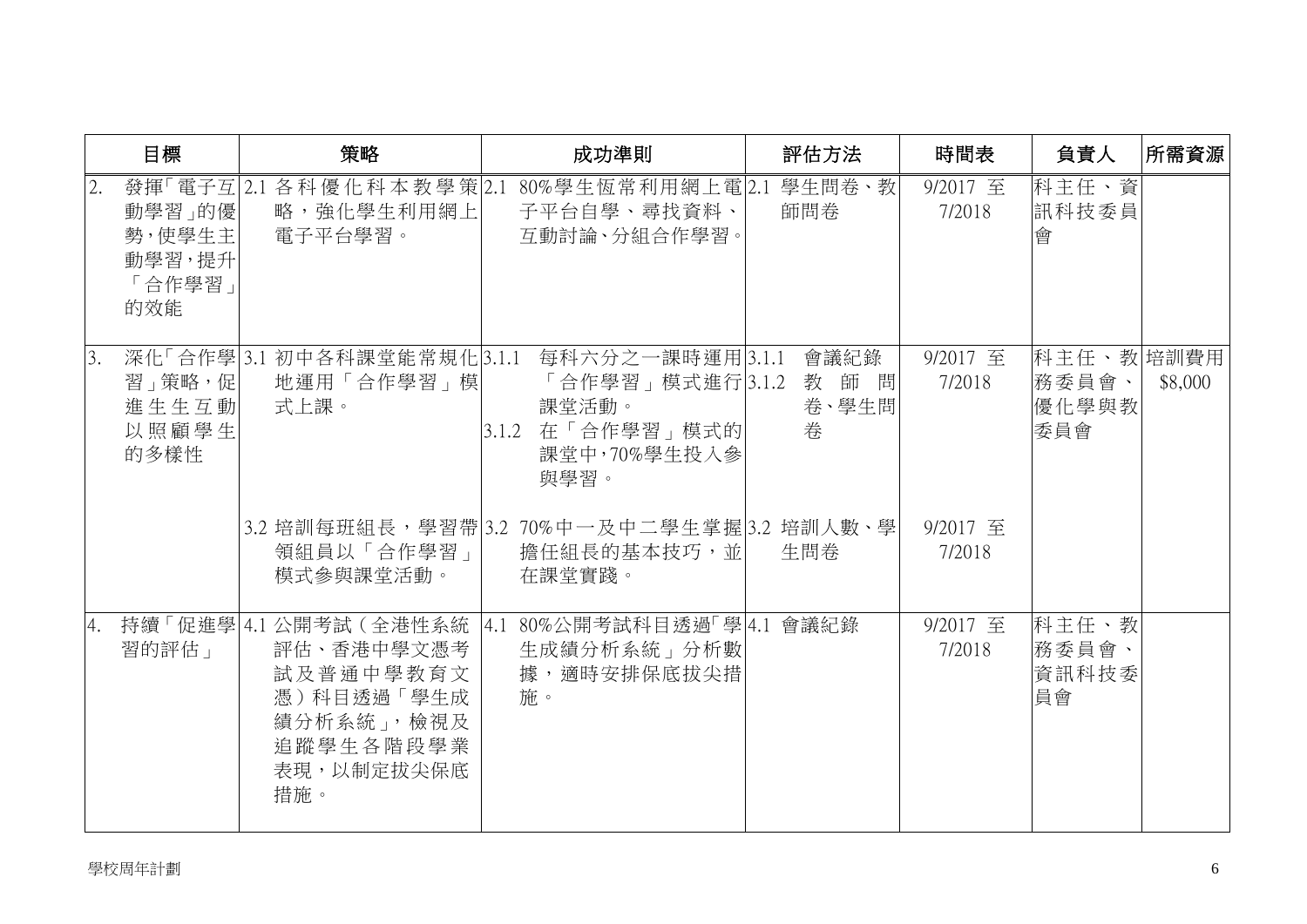|    | 目標                                          | 策略                                                                                                              | 成功準則                                                                                                                    | 評估方法                      | 時間表                | 負責人                                 | 所需資源    |
|----|---------------------------------------------|-----------------------------------------------------------------------------------------------------------------|-------------------------------------------------------------------------------------------------------------------------|---------------------------|--------------------|-------------------------------------|---------|
| 2. | 動學習」的優<br>勢,使學生主<br>動學習,提升<br>「合作學習」<br>的效能 | 略,強化學生利用網上 <br>電子平台學習。                                                                                          | 發揮「電子互 2.1 各科 優 化 科 本 教 學 策 2.1 80%學生恆常 利用網上電 2.1 學生問卷、教<br>子平台自學、尋找資料、<br>互動討論、分組合作學習。                                 | 師問卷                       | 9/2017 至<br>7/2018 | 科主任、資<br>訊科技委員<br>會                 |         |
| 3. | 習」策略,促 <br>進生生互動<br>以照顧學生<br>的多樣性           | 地運用「合作學習」模 <br>式上課。                                                                                             | 深化「合作學 3.1 初中各科課堂能常規化 3.1.1 每科六分之一課時運用 3.1.1<br>「合作學習」模式進行 3.1.2<br>課堂活動。<br> 3.1.2 在「合作學習」模式的 <br>課堂中,70%學生投入參<br>與學習。 | 會議紀錄<br>教師問<br>卷、學生問<br>卷 | 9/2017 至<br>7/2018 | 科主任、教培訓費用<br>務委員會、<br> 優化學與教<br>委員會 | \$8,000 |
|    |                                             | 領組員以「合作學習」<br>模式參與課堂活動。                                                                                         | 3.2 培訓每班組長, 學習帶 3.2 70%中一及中二學生掌握 3.2 培訓人數、學<br>擔任組長的基本技巧,並 <br>在課堂實踐。                                                   | 生問券                       | 9/2017 至<br>7/2018 |                                     |         |
| 4. | 習的評估」                                       | 持續「促進學 4.1 公開考試 (全港性系統<br>評估、香港中學文憑考<br>試及普通中學教育文<br>憑)科目透過「學生成<br>績分析系統」,檢視及<br>追蹤學生各階段學業<br>表現,以制定拔尖保底<br>措施。 | 4.1 80%公開考試科目透過「學 4.1 會議紀錄<br>生成績分析系統」分析數<br>據,適時安排保底拔尖措<br>施。                                                          |                           | 9/2017 至<br>7/2018 | 科主任、教<br>務委員會、<br>資訊科技委<br>員會       |         |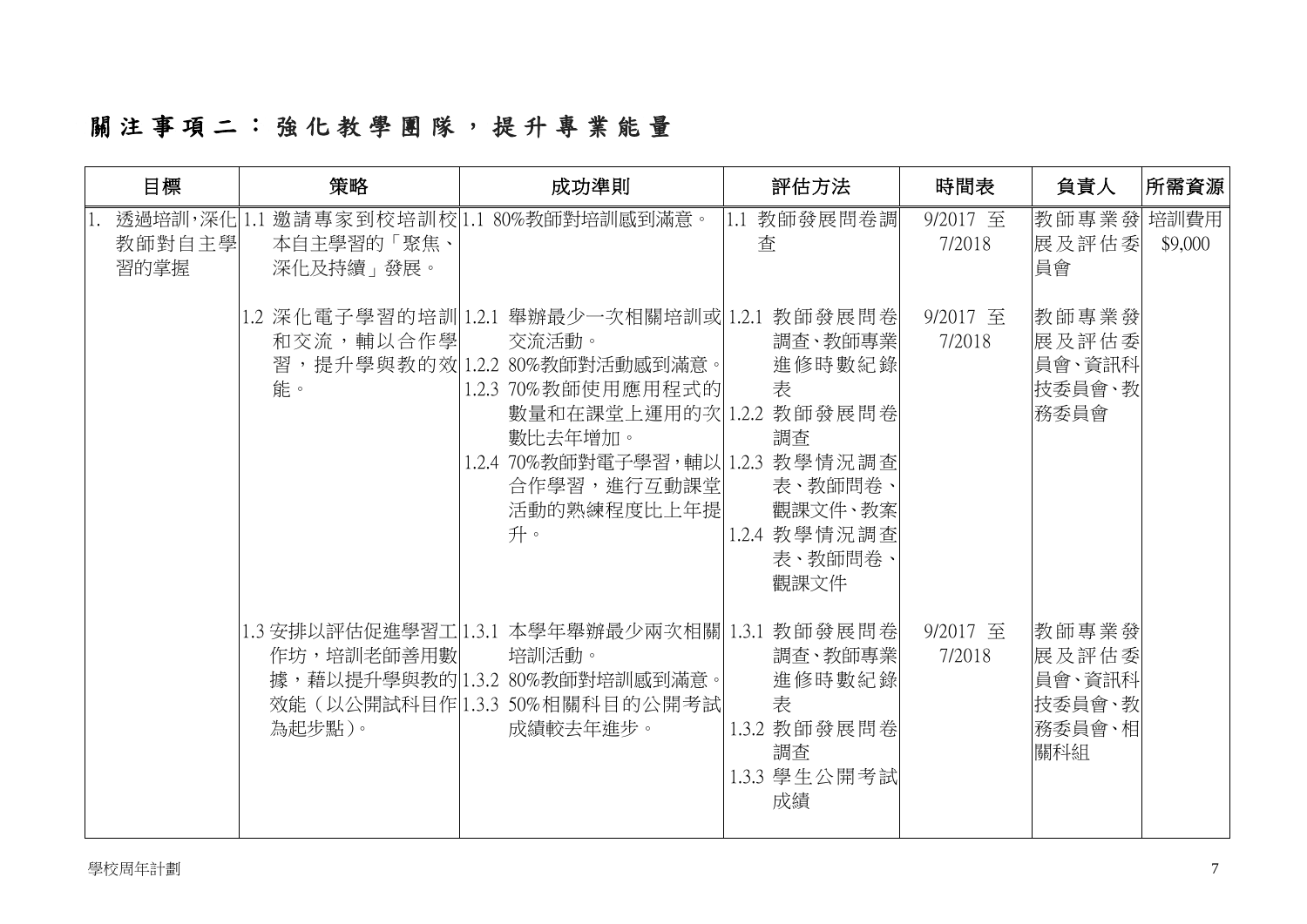# 關注事項 二 : 強 化 教 學 團 隊 , 提 升 專 業 能 量

| 目標             | 策略                      | 成功準則                                                                                                                                                                                                                          | 評估方法                                                                                  | 時間表                | 負責人                                                 | 所需資源    |
|----------------|-------------------------|-------------------------------------------------------------------------------------------------------------------------------------------------------------------------------------------------------------------------------|---------------------------------------------------------------------------------------|--------------------|-----------------------------------------------------|---------|
| 教師對自主學<br>習的掌握 | 本自主學習的「聚焦、<br>深化及持續」發展。 | 透過培訓,深化1.1 邀請專家到校培訓校 1.1 80%教師對培訓感到滿意。                                                                                                                                                                                        | 1.1 教師發展問卷調<br>查                                                                      | 9/2017 至<br>7/2018 | 教師專業發培訓費用<br>展及評估委<br>員會                            | \$9,000 |
|                | 和交流,輔以合作學<br>能。         | 1.2 深化電子學習的培訓 1.2.1 舉辦最少一次相關培訓或 1.2.1 教師發展問卷 <br>交流活動。<br>習,提升學與教的效 1.2.2 80%教師對活動感到滿意。 <br>1.2.3 70%教師使用應用程式的<br>數量和在課堂上運用的次1.2.2 教師發展問卷<br>數比去年增加。<br>1.2.4 70%教師對電子學習,輔以 1.2.3 教學情況調查<br>合作學習,進行互動課堂 <br>活動的熟練程度比上年提<br>升。 | 調查、教師專業<br>進修時數紀錄<br>表<br>調査<br>表、教師問卷、<br>觀課文件、教案<br>1.2.4 教學情況調查<br>表、教師問卷、<br>觀課文件 | 9/2017 至<br>7/2018 | 教師專業發<br>展及評估委<br>員會、資訊科<br>技委員會、教<br>務委員會          |         |
|                | 作坊,培訓老師善用數<br>為起步點)。    | 1.3 安排以評估促進學習工 1.3.1 本學年舉辦最少兩次相關  1.3.1 教師發展問卷 <br>培訓活動。<br>據,藉以提升學與教的 1.3.2 80%教師對培訓感到滿意。 <br>效能 (以公開試科目作 1.3.3 50%相關科目的公開考試 <br>成績較去年進步。                                                                                    | 調查、教師專業 <br>進修時數紀錄<br>表<br>1.3.2 教師發展問卷<br>調査<br>1.3.3 學生公開考試<br>成績                   | 9/2017 至<br>7/2018 | 教師專業發<br>展及評估委<br>員會、資訊科<br>技委員會、教<br>務委員會、相<br>關科組 |         |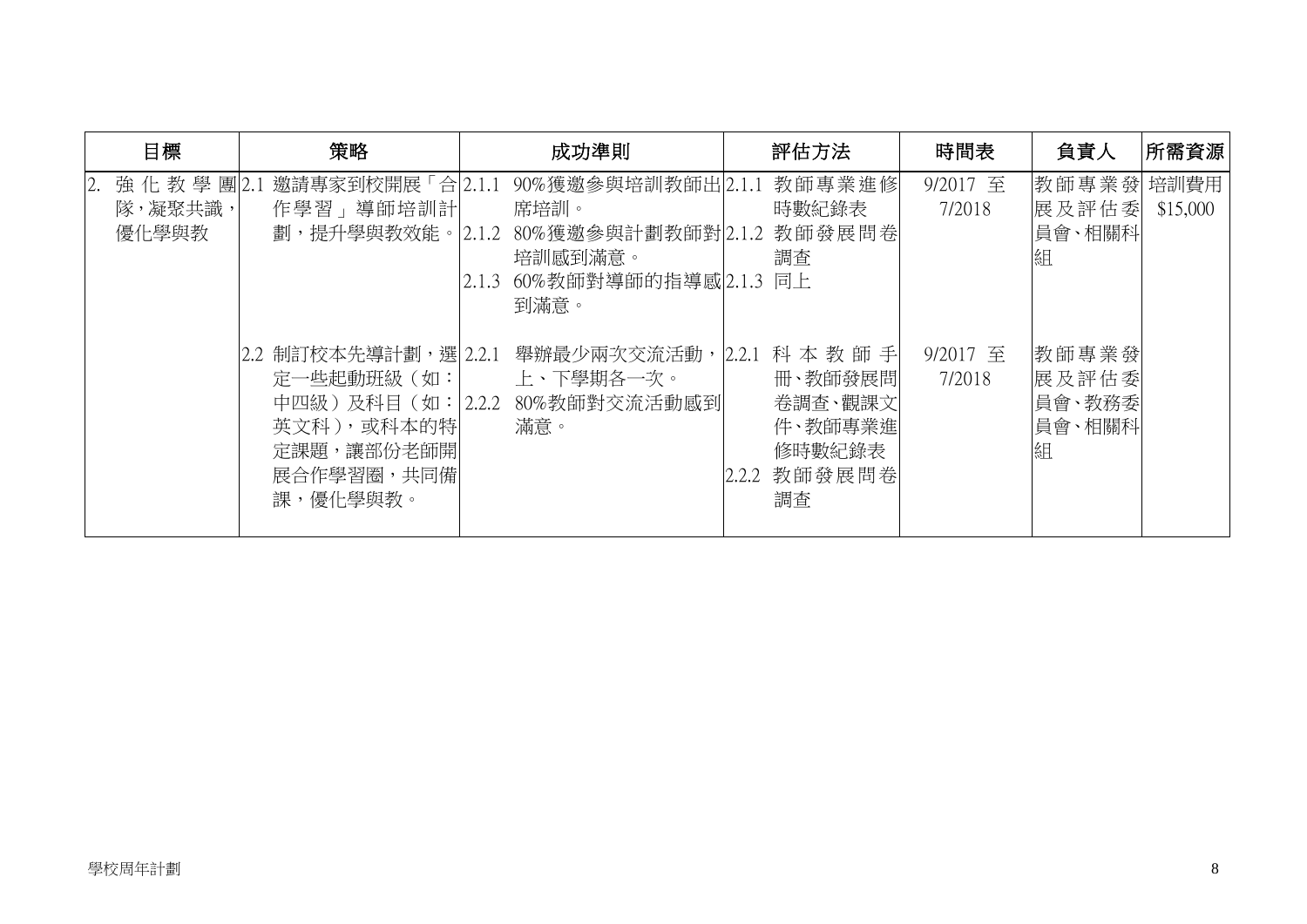| 目標                                 | 策略                                                                                                              | 成功準則                                                                                                 | 評估方法                                                                               | 時間表                | 負責人                                     | 所需資源     |
|------------------------------------|-----------------------------------------------------------------------------------------------------------------|------------------------------------------------------------------------------------------------------|------------------------------------------------------------------------------------|--------------------|-----------------------------------------|----------|
| 強化教學團2.1<br>2.<br>隊,凝聚共識,<br>優化學與教 | 邀請專家到校開展「合2.1.1<br>作學習」導師培訓計<br>劃,提升學與教效能。 2.1.2                                                                | 90%獲邀參與培訓教師出2.1.1<br>席培訓。<br>80%獲邀參與計劃教師對 2.1.2<br>培訓感到滿意。<br>60%教師對導師的指導感 2.1.3 同上<br>2.1.3<br>到滿意。 | 教師專業進修<br>時數紀錄表<br>教師發展問卷<br>調査                                                    | 9/2017 至<br>7/2018 | 教師專業發 培訓費用<br>展及評估委<br>員會、相關科<br>組      | \$15,000 |
|                                    | 2.2 制訂校本先導計劃,選  2.2.1<br>定一些起動班級(如:<br>中四級 )及科目(如: 2.2.2<br>英文科),或科本的特 <br>定課題,讓部份老師開<br>展合作學習圈,共同備<br>課,優化學與教。 | 舉辦最少兩次交流活動,<br>上、下學期各一次。<br>80%教師對交流活動感到<br>滿意。                                                      | 科本教師手<br>2.2.1<br>冊、教師發展問<br>卷調査、觀課文<br>件、教師專業進<br>修時數紀錄表<br>教師發展問卷<br>2.2.2<br>調査 | 9/2017 至<br>7/2018 | 教師專業發<br>展及評估委<br>員會、教務委<br>員會、相關科<br>組 |          |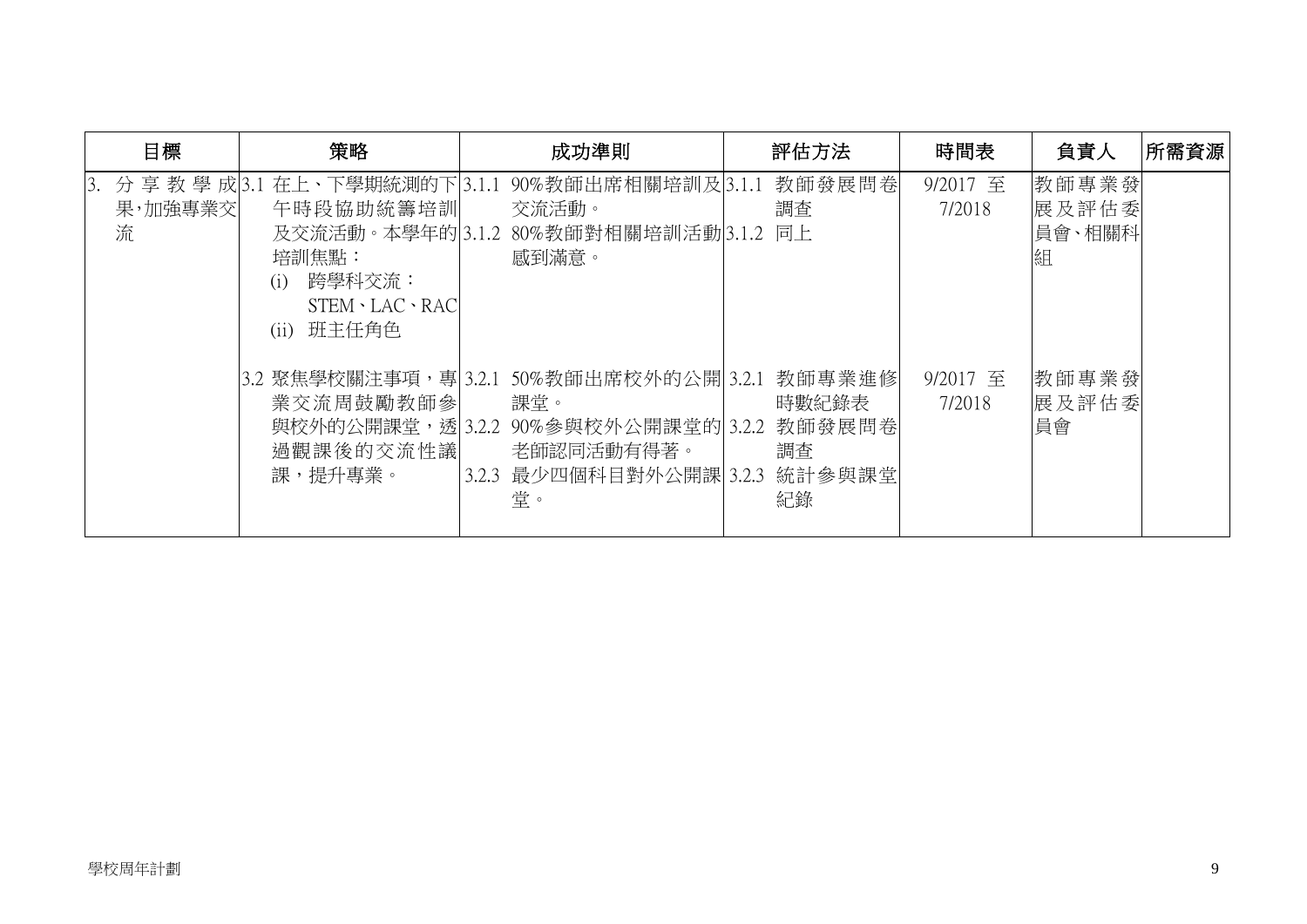| 目標                              | 策略                                                                                                              |                                                                                                        | 評估方法                                  | 時間表                | 負責人                           | 所需資源 |
|---------------------------------|-----------------------------------------------------------------------------------------------------------------|--------------------------------------------------------------------------------------------------------|---------------------------------------|--------------------|-------------------------------|------|
| 分享教學成 3.1<br>3.<br>果,加強專業交<br>流 | 在上、下學期統測的下 3.1.1<br>午時段協助統籌培訓<br>及交流活動。本學年的 3.1.2<br>培訓焦點:<br>跨學科交流:<br>(i)<br>STEM · LAC · RAC<br>班主任角色<br>(i) | 90%教師出席相關培訓及 3.1.1<br>交流活動。<br>80%教師對相關培訓活動 3.1.2 同上<br>感到滿意。                                          | 教師發展問卷<br>調査                          | 9/2017 至<br>7/2018 | 教師專業發<br>展及評估委<br>員會、相關科<br>組 |      |
|                                 | 3.2 聚焦學校關注事項,專 3.2.1<br>業交流周鼓勵教師參<br>與校外的公開課堂,透 3.2.2<br>過觀課後的交流性議<br>課,提升專業。                                   | 50%教師出席校外的公開 3.2.1<br>課堂。<br>90%參與校外公開課堂的 3.2.2 教師發展問卷 <br>老師認同活動有得著。<br>3.2.3 最少四個科目對外公開課 3.2.3<br>堂。 | 教師專業進修<br>時數紀錄表<br>調査<br>統計參與課堂<br>紀錄 | 9/2017 至<br>7/2018 | 教師專業發<br>展及評估委<br>員會          |      |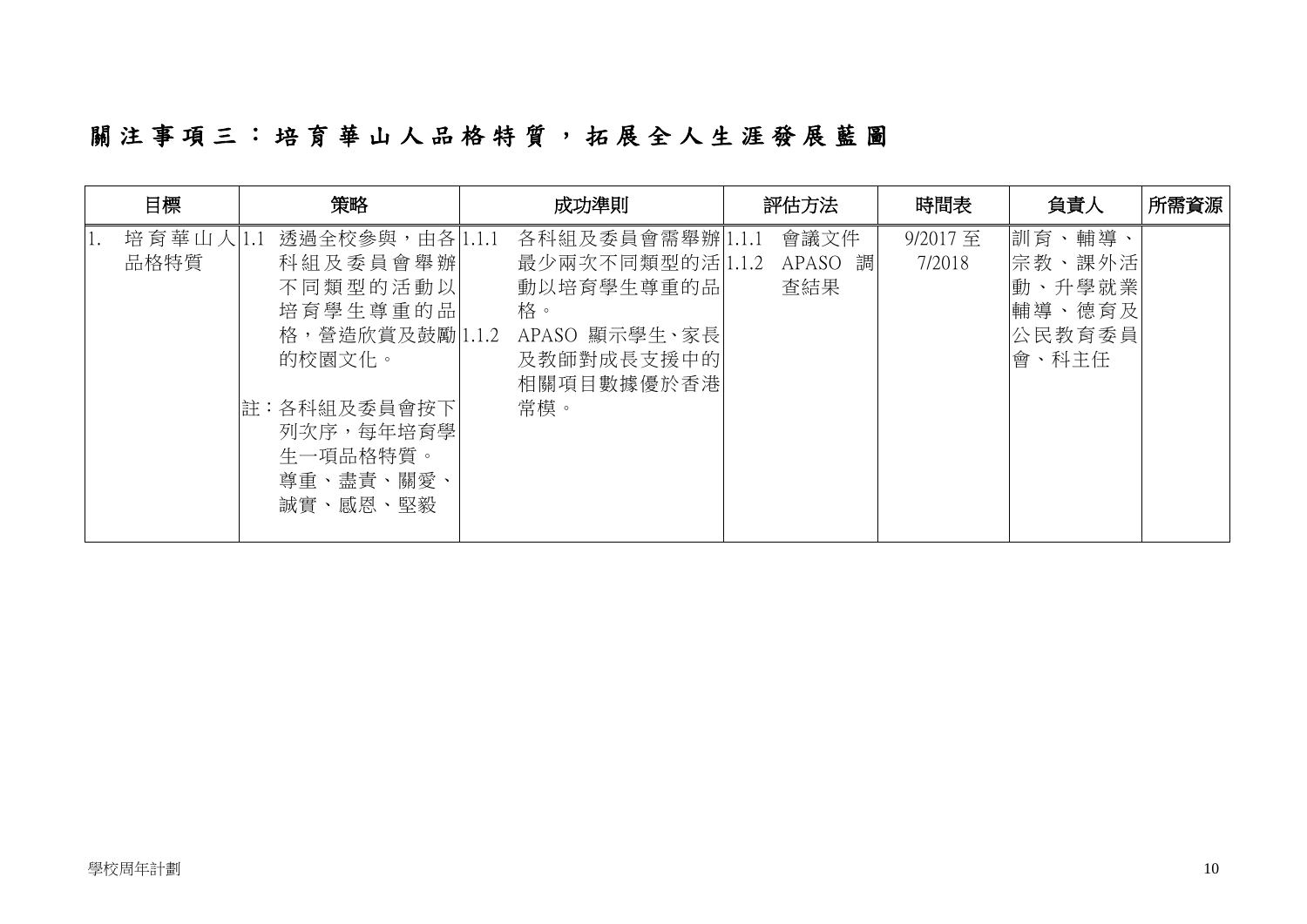# 關 注 事 項 三 : 培 育 華 山 人 品 格 特 質 , 拓 展 全 人 生 涯 發 展 藍 圖

| 目標            | 策略                                                                                                                              | 成功準則                                                                                                                         | 評估方法                      | 時間表               | 負責人                                                     | 所需資源 |
|---------------|---------------------------------------------------------------------------------------------------------------------------------|------------------------------------------------------------------------------------------------------------------------------|---------------------------|-------------------|---------------------------------------------------------|------|
| 培育華山人<br>品格特質 | 透過全校參與,由各 1.1.1<br>科組及委員會舉辦<br>不同類型的活動以<br>培育學生尊重的品<br>的校園文化。<br>註:各科組及委員會按下<br>列次序,每年培育學 <br>生一項品格特質。<br>尊重、盡責、關愛、<br>誠實、感恩、堅毅 | 各科組及委員會需舉辦 1.1.1<br>最少兩次不同類型的活 1.1.2<br>動以培育學生尊重的品<br>格。<br>格,營造欣賞及鼓勵 1.1.2 APASO 顯示學生、家長<br>及教師對成長支援中的<br>相關項目數據優於香港<br>常模。 | 會議文件<br>APASO<br>調<br>查結果 | 9/2017至<br>7/2018 | 訓育、輔導、<br>宗教、課外活<br>動、升學就業<br>輔導、德育及<br>公民教育委員<br>會、科主任 |      |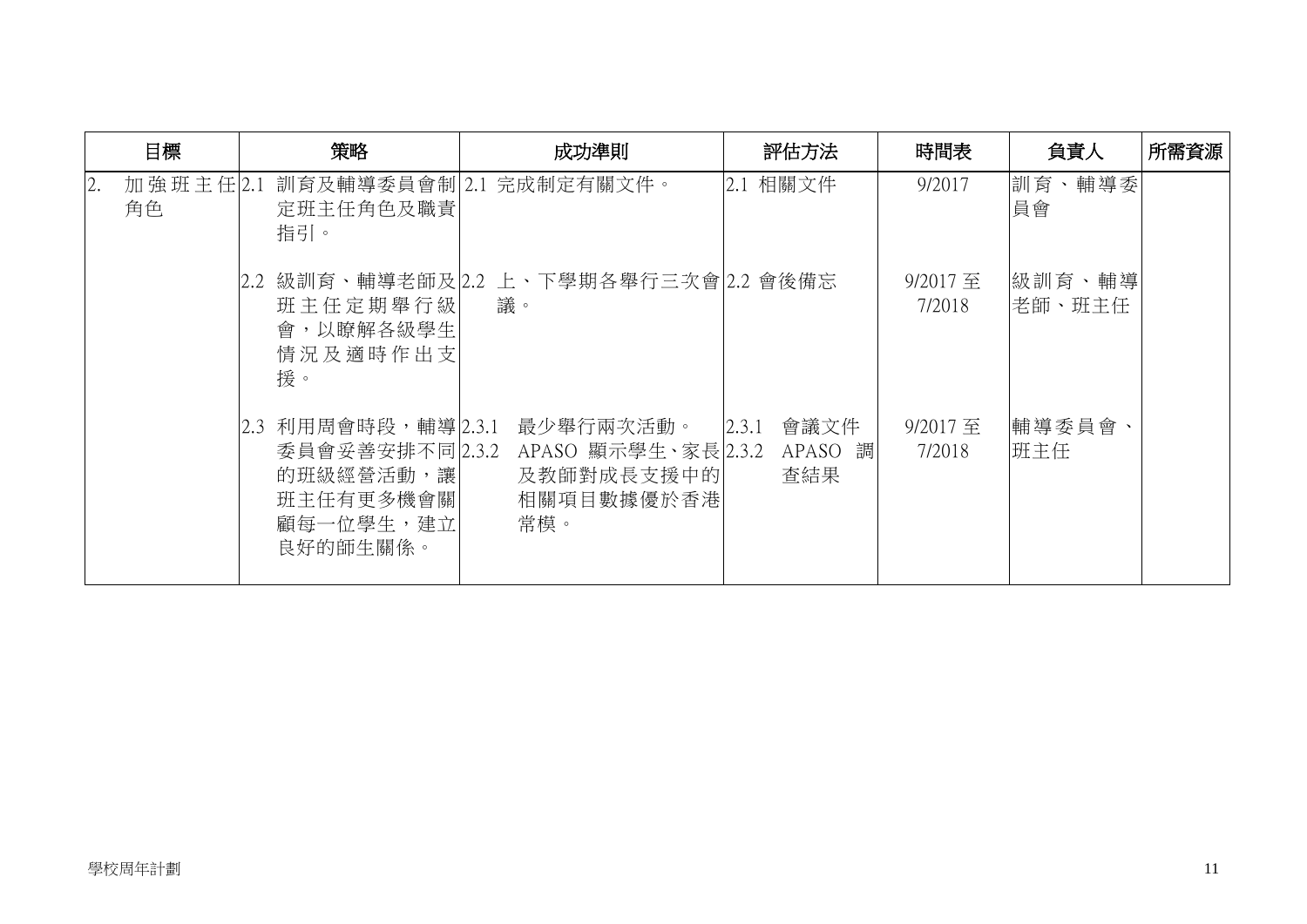| 目標                    | 策略                                                                      | 成功準則                                                                                | 評估方法                            | 時間表                | 負責人               | 所需資源 |
|-----------------------|-------------------------------------------------------------------------|-------------------------------------------------------------------------------------|---------------------------------|--------------------|-------------------|------|
| 2.<br>加強班主任 2.1<br>角色 | 定班主任角色及職責<br>指引。                                                        | 訓育及輔導委員會制 2.1 完成制定有關文件。                                                             | 2.1 相關文件                        | 9/2017             | 訓育、輔導委<br>員會      |      |
|                       | 班主任定期舉行級<br>會,以瞭解各級學生<br>情況及適時作出支<br>援。                                 | 2.2 級訓育、輔導老師及 2.2 上、下學期各舉行三次會 2.2 會後備忘<br>議。                                        |                                 | 9/2017 至<br>7/2018 | 緻訓育、輔導<br> 老師、班主任 |      |
|                       | 2.3 利用周會時段,輔導 2.3.1<br>的班級經營活動,讓 <br>班主任有更多機會關<br>顧每一位學生,建立<br>良好的師生關係。 | 最少舉行兩次活動。<br>委員會妥善安排不同 2.3.2 APASO 顯示學生、家長 2.3.2<br>及教師對成長支援中的<br>相關項目數據優於香港<br>常模。 | 會議文件<br>2.3.1<br>APASO 調<br>查結果 | 9/2017至<br>7/2018  | 輔導委員會、<br>班主任     |      |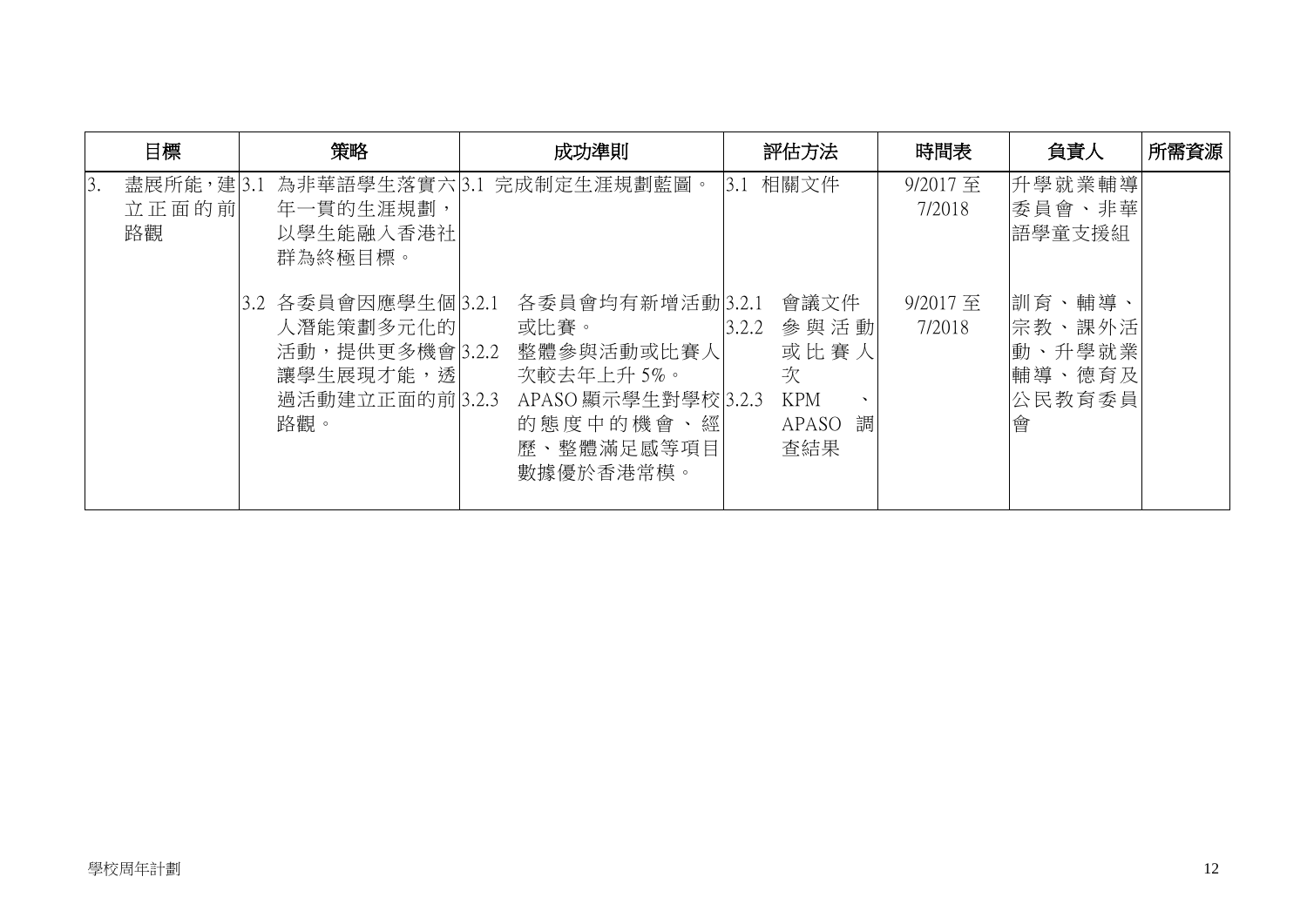| 目標                             | 策略<br>成功準則                                                                                   |                                                                                                                    | 評估方法                                                                               | 時間表                | 負責人                                                     | 所需資源 |
|--------------------------------|----------------------------------------------------------------------------------------------|--------------------------------------------------------------------------------------------------------------------|------------------------------------------------------------------------------------|--------------------|---------------------------------------------------------|------|
| 盡展所能,建3.1<br>3.<br>立正面的前<br>路觀 | 年一貫的生涯規劃,<br>以學生能融入香港社<br>群為終極目標。                                                            | 為非華語學生落實六 3.1 完成制定生涯規劃藍圖。                                                                                          | 相關文件<br>3.1                                                                        | 9/2017至<br>7/2018  | 升學就業輔導<br>委員會、非華<br>語學童支援組                              |      |
|                                | 3.2 各委員會因應學生個 3.2.1<br>人潛能策劃多元化的 <br>活動,提供更多機會 3.2.2<br>讓學生展現才能,透 <br>過活動建立正面的前 3.2.3<br>路觀。 | 各委員會均有新增活動 3.2.1<br>或比賽。<br>整體參與活動或比賽人<br>次較去年上升5%。<br>APASO 顯示學生對學校 3.2.3<br>的態度中的機會、經<br>歷、整體滿足感等項目<br>數據優於香港常模。 | 會議文件<br>參與活動<br>3.2.2<br>或比賽人<br>次<br><b>KPM</b><br>$\lambda$<br>調<br>APASO<br>查結果 | 9/2017 至<br>7/2018 | 訓育、輔導、<br>宗教、課外活<br> 動、升學就業 <br> 輔導、德育及 <br>公民教育委員<br>會 |      |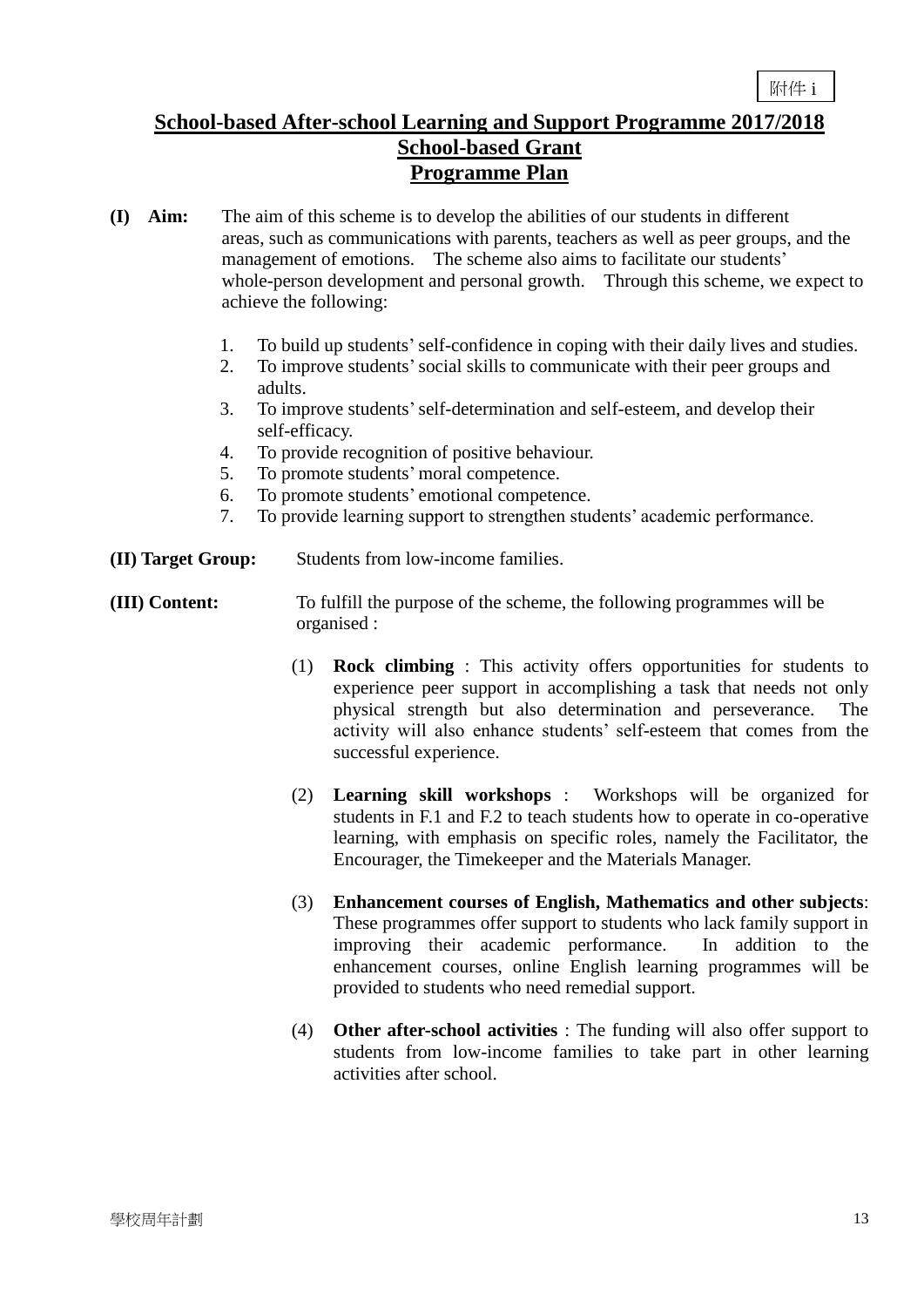### **School-based After-school Learning and Support Programme 2017/2018 School-based Grant Programme Plan**

- **(I) Aim:** The aim of this scheme is to develop the abilities of our students in different areas, such as communications with parents, teachers as well as peer groups, and the management of emotions. The scheme also aims to facilitate our students' whole-person development and personal growth. Through this scheme, we expect to achieve the following:
	- 1. To build up students'self-confidence in coping with their daily lives and studies.
	- 2. To improve students'social skills to communicate with their peer groups and adults.
	- 3. To improve students'self-determination and self-esteem, and develop their self-efficacy.
	- 4. To provide recognition of positive behaviour.
	- 5. To promote students' moral competence.
	- 6. To promote students' emotional competence.
	- 7. To provide learning support to strengthen students' academic performance.
- **(II) Target Group:** Students from low-income families.
- **(III) Content:** To fulfill the purpose of the scheme, the following programmes will be organised :
	- (1) **Rock climbing** : This activity offers opportunities for students to experience peer support in accomplishing a task that needs not only physical strength but also determination and perseverance. The activity will also enhance students' self-esteem that comes from the successful experience.
	- (2) **Learning skill workshops** : Workshops will be organized for students in F.1 and F.2 to teach students how to operate in co-operative learning, with emphasis on specific roles, namely the Facilitator, the Encourager, the Timekeeper and the Materials Manager.
	- (3) **Enhancement courses of English, Mathematics and other subjects**: These programmes offer support to students who lack family support in improving their academic performance. In addition to the enhancement courses, online English learning programmes will be provided to students who need remedial support.
	- (4) **Other after-school activities** : The funding will also offer support to students from low-income families to take part in other learning activities after school.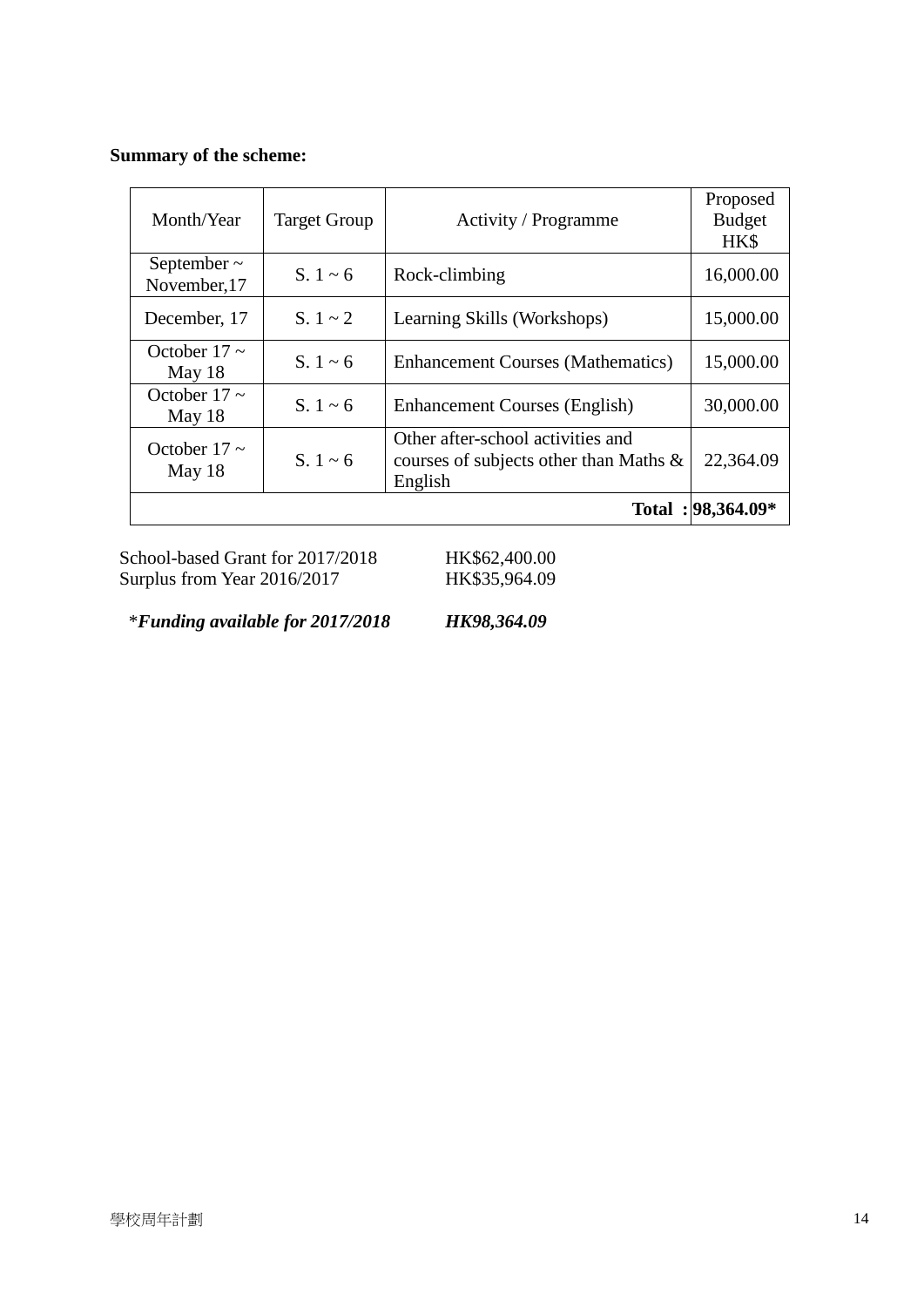#### **Summary of the scheme:**

| Month/Year                       | <b>Target Group</b> | Activity / Programme                                                                   | Proposed<br><b>Budget</b><br>HK\$ |
|----------------------------------|---------------------|----------------------------------------------------------------------------------------|-----------------------------------|
| September $\sim$<br>November, 17 | $S. 1 \sim 6$       | Rock-climbing                                                                          | 16,000.00                         |
| December, 17                     | $S. 1 \sim 2$       | Learning Skills (Workshops)                                                            | 15,000.00                         |
| October 17 $\sim$<br>May $18$    | S. $1 \sim 6$       | <b>Enhancement Courses (Mathematics)</b>                                               | 15,000.00                         |
| October $17 \sim$<br>May $18$    | S. $1 \sim 6$       | <b>Enhancement Courses (English)</b>                                                   | 30,000.00                         |
| October 17 $\sim$<br>May 18      | S. $1 \sim 6$       | Other after-school activities and<br>courses of subjects other than Maths &<br>English | 22,364.09                         |
|                                  |                     |                                                                                        | Total: 98,364.09*                 |

School-based Grant for 2017/2018 HK\$62,400.00<br>Surplus from Year 2016/2017 HK\$35,964.09 Surplus from Year 2016/2017

\**Funding available for 2017/2018 HK98,364.09*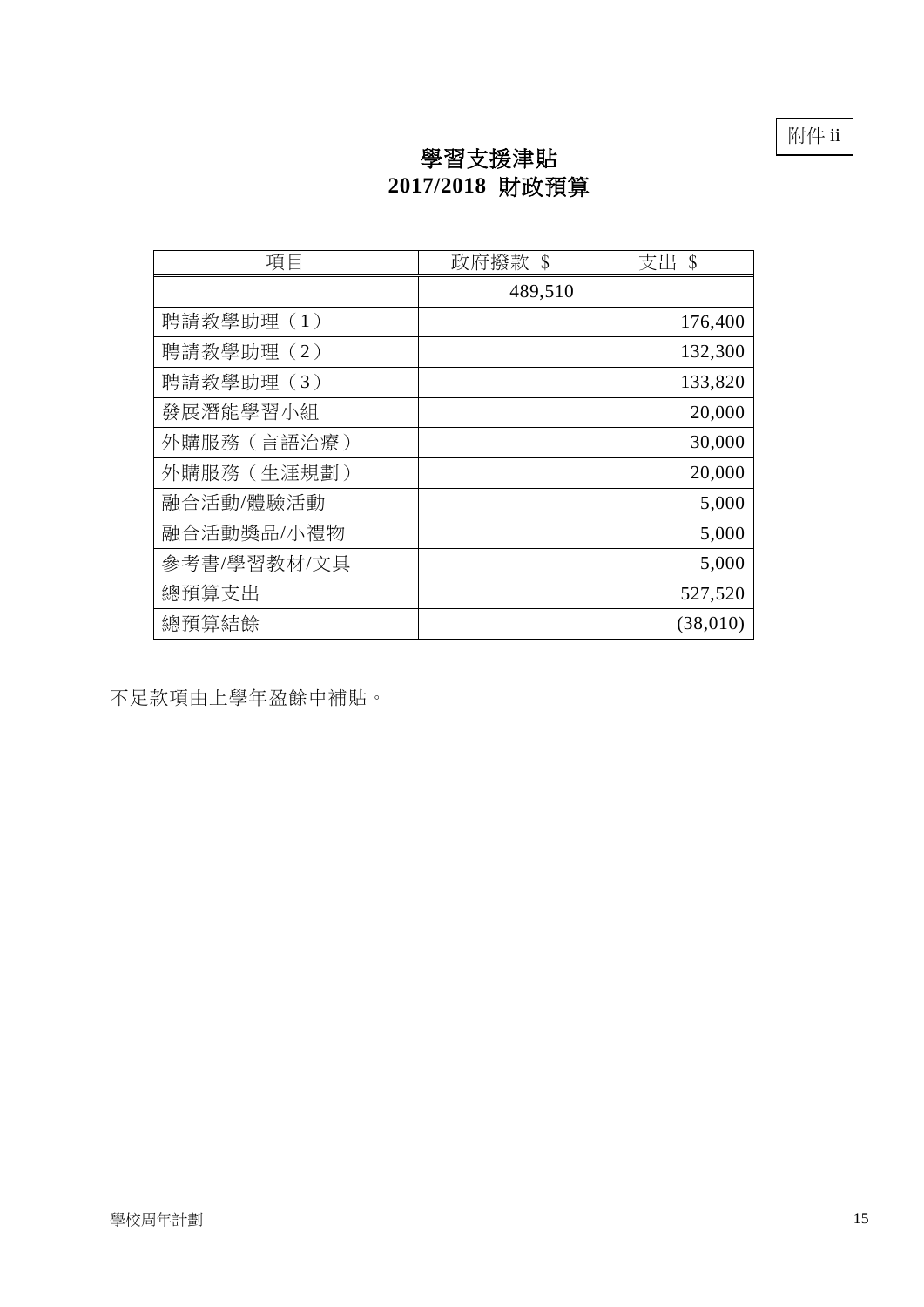附件 ii

# 學習支援津貼 **2017/2018** 財政預算

| 項目          | 政府撥款 \$ | 支出 \$    |
|-------------|---------|----------|
|             | 489,510 |          |
| 聘請教學助理(1)   |         | 176,400  |
| 聘請教學助理(2)   |         | 132,300  |
| 聘請教學助理(3)   |         | 133,820  |
| 發展潛能學習小組    |         | 20,000   |
| 外購服務 (言語治療) |         | 30,000   |
| 外購服務 (生涯規劃) |         | 20,000   |
| 融合活動/體驗活動   |         | 5,000    |
| 融合活動獎品/小禮物  |         | 5,000    |
| 參考書/學習教材/文具 |         | 5,000    |
| 總預算支出       |         | 527,520  |
| 總預算結餘       |         | (38,010) |

不足款項由上學年盈餘中補貼。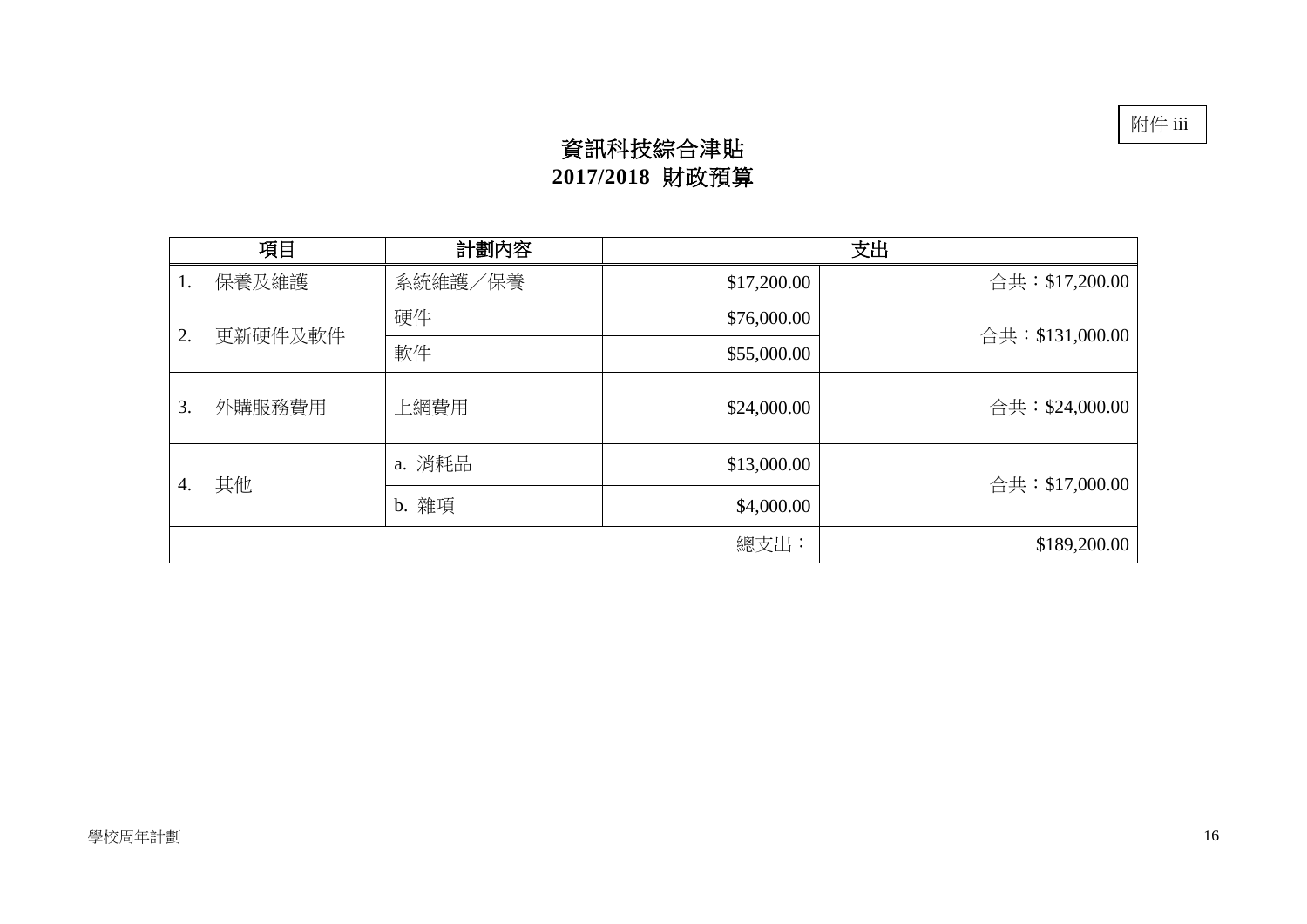# 資訊科技綜合津貼 **2017/2018** 財政預算

|    | 項目      | 計劃內容                |              | 支出              |
|----|---------|---------------------|--------------|-----------------|
| 1. | 保養及維護   | 系統維護/保養             | \$17,200.00  | 合共:\$17,200.00  |
| 2. |         | 硬件                  | \$76,000.00  |                 |
|    | 更新硬件及軟件 | 軟件                  | \$55,000.00  | 合共:\$131,000.00 |
| 3. | 外購服務費用  | 上網費用                | \$24,000.00  | 合共:\$24,000.00  |
|    |         | a. 消耗品              | \$13,000.00  |                 |
| 4. | 其他      | b. 雜項<br>\$4,000.00 |              | 合共:\$17,000.00  |
|    |         |                     | \$189,200.00 |                 |

附件 iii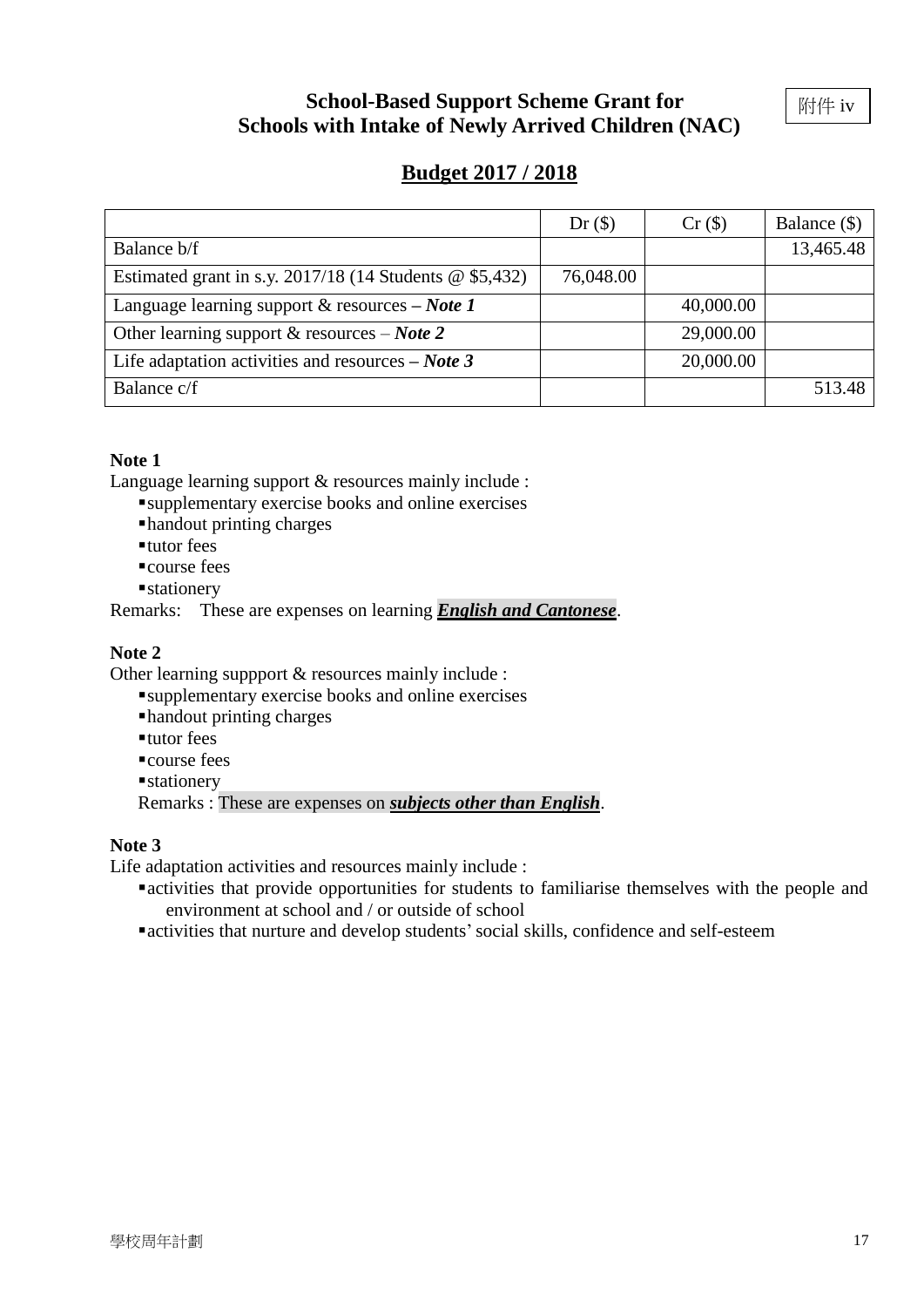## **School-Based Support Scheme Grant for Schools with Intake of Newly Arrived Children (NAC)**

附件 iv

## **Budget 2017 / 2018**

|                                                            | $Dr($ \$) | Cr(S)     | Balance (\$) |
|------------------------------------------------------------|-----------|-----------|--------------|
| Balance b/f                                                |           |           | 13,465.48    |
| Estimated grant in s.y. $2017/18$ (14 Students @ \$5,432)  | 76,048.00 |           |              |
| Language learning support & resources $-$ Note 1           |           | 40,000.00 |              |
| Other learning support & resources – Note 2                |           | 29,000.00 |              |
| Life adaptation activities and resources $-$ <i>Note</i> 3 |           | 20,000.00 |              |
| Balance c/f                                                |           |           | 513.48       |

#### **Note 1**

Language learning support & resources mainly include :

supplementary exercise books and online exercises

handout printing charges

- tutor fees
- course fees
- **stationery**

Remarks: These are expenses on learning *English and Cantonese*.

#### **Note 2**

Other learning suppport & resources mainly include :

- supplementary exercise books and online exercises
- handout printing charges
- tutor fees
- ■course fees
- **stationery**

Remarks : These are expenses on *subjects other than English*.

#### **Note 3**

Life adaptation activities and resources mainly include :

- activities that provide opportunities for students to familiarise themselves with the people and environment at school and / or outside of school
- activities that nurture and develop students'social skills, confidence and self-esteem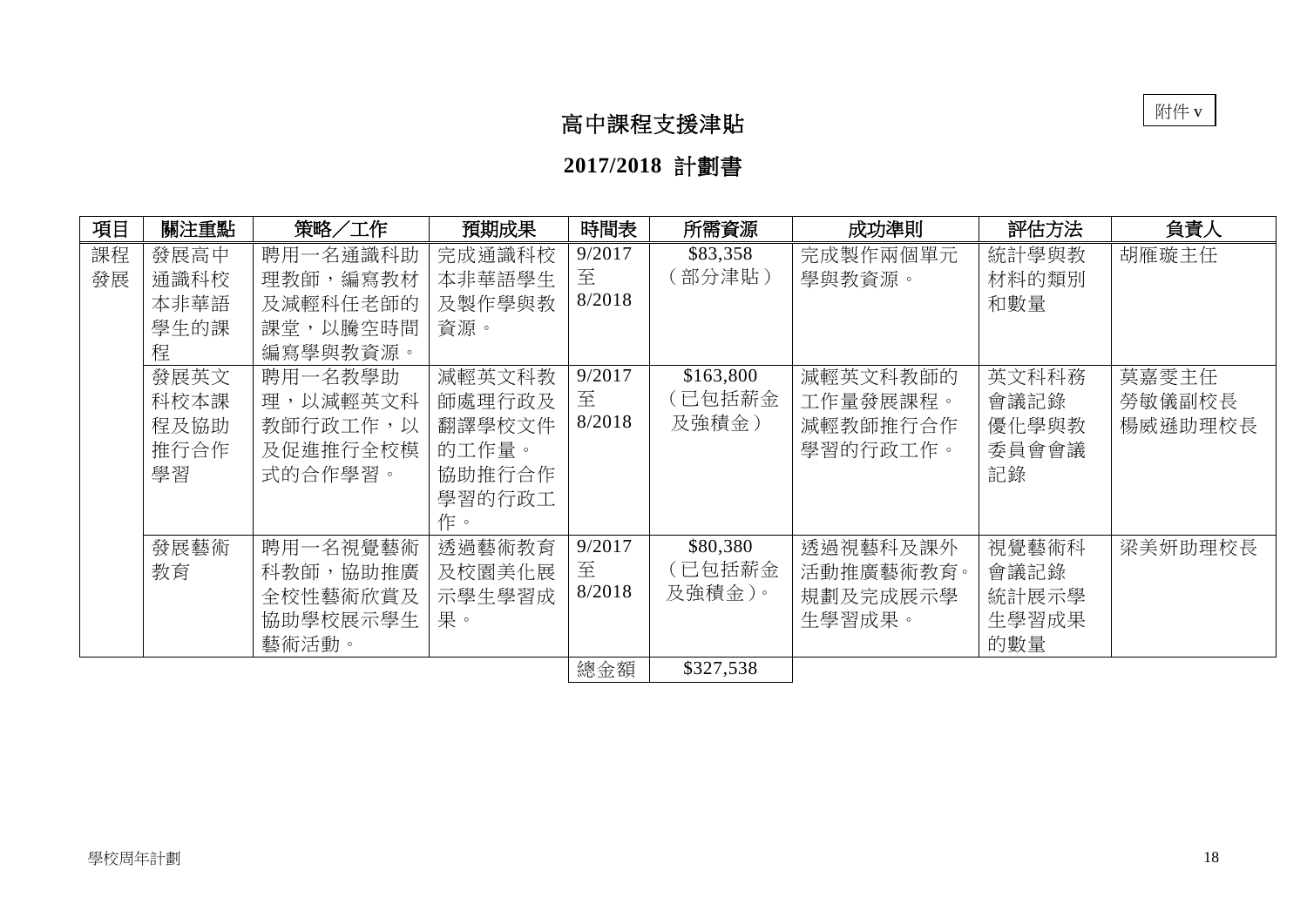# 高中課程支援津貼

**2017/2018** 計劃書

| 項目       | 關注重點                               | 策略/工作                                                    | 預期成果                                                          | 時間表                   | 所需資源                         | 成功準則                                         | 評估方法                                   | 負責人                        |
|----------|------------------------------------|----------------------------------------------------------|---------------------------------------------------------------|-----------------------|------------------------------|----------------------------------------------|----------------------------------------|----------------------------|
| 課程<br>發展 | 發展高中<br>通識科校<br>本非華語<br>學生的課<br>程  | 聘用一名通識科助<br>理教師,編寫教材<br>及減輕科任老師的<br>課堂,以騰空時間<br>編寫學與教資源。 | 完成通識科校<br>本非華語學生<br>及製作學與教<br>資源。                             | 9/2017<br>至<br>8/2018 | \$83,358<br>〔部分津貼〕           | 完成製作兩個單元<br>學與教資源。                           | 統計學與教<br>材料的類別<br>和數量                  | 胡雁璇主任                      |
|          | 發展英文<br>科校本課<br>程及協助<br>推行合作<br>學習 | 聘用一名教學助<br>理,以減輕英文科<br>教師行政工作,以<br>及促進推行全校模<br>式的合作學習。   | 減輕英文科教<br>師處理行政及<br>翻譯學校文件<br>的工作量。<br>協助推行合作<br>學習的行政工<br>作。 | 9/2017<br>至<br>8/2018 | \$163,800<br>(已包括薪金<br>及強積金) | 減輕英文科教師的<br>工作量發展課程。<br>減輕教師推行合作<br>學習的行政工作。 | 英文科科務<br>會議記錄<br>優化學與教<br>委員會會議<br>記錄  | 莫嘉雯主任<br>勞敏儀副校長<br>楊威遜助理校長 |
|          | 發展藝術<br>教育                         | 聘用一名視覺藝術<br>科教師,協助推廣<br>全校性藝術欣賞及<br>協助學校展示學生<br>藝術活動。    | 透過藝術教育<br>及校園美化展<br>示學生學習成<br>果。                              | 9/2017<br>至<br>8/2018 | \$80,380<br>(已包括薪金<br>及強積金)。 | 透過視藝科及課外<br>活動推廣藝術教育。<br>規劃及完成展示學<br>生學習成果。  | 視覺藝術科<br>會議記錄<br>統計展示學<br>生學習成果<br>的數量 | 梁美妍助理校長                    |
|          |                                    |                                                          |                                                               | 總金額                   | \$327,538                    |                                              |                                        |                            |

附件 v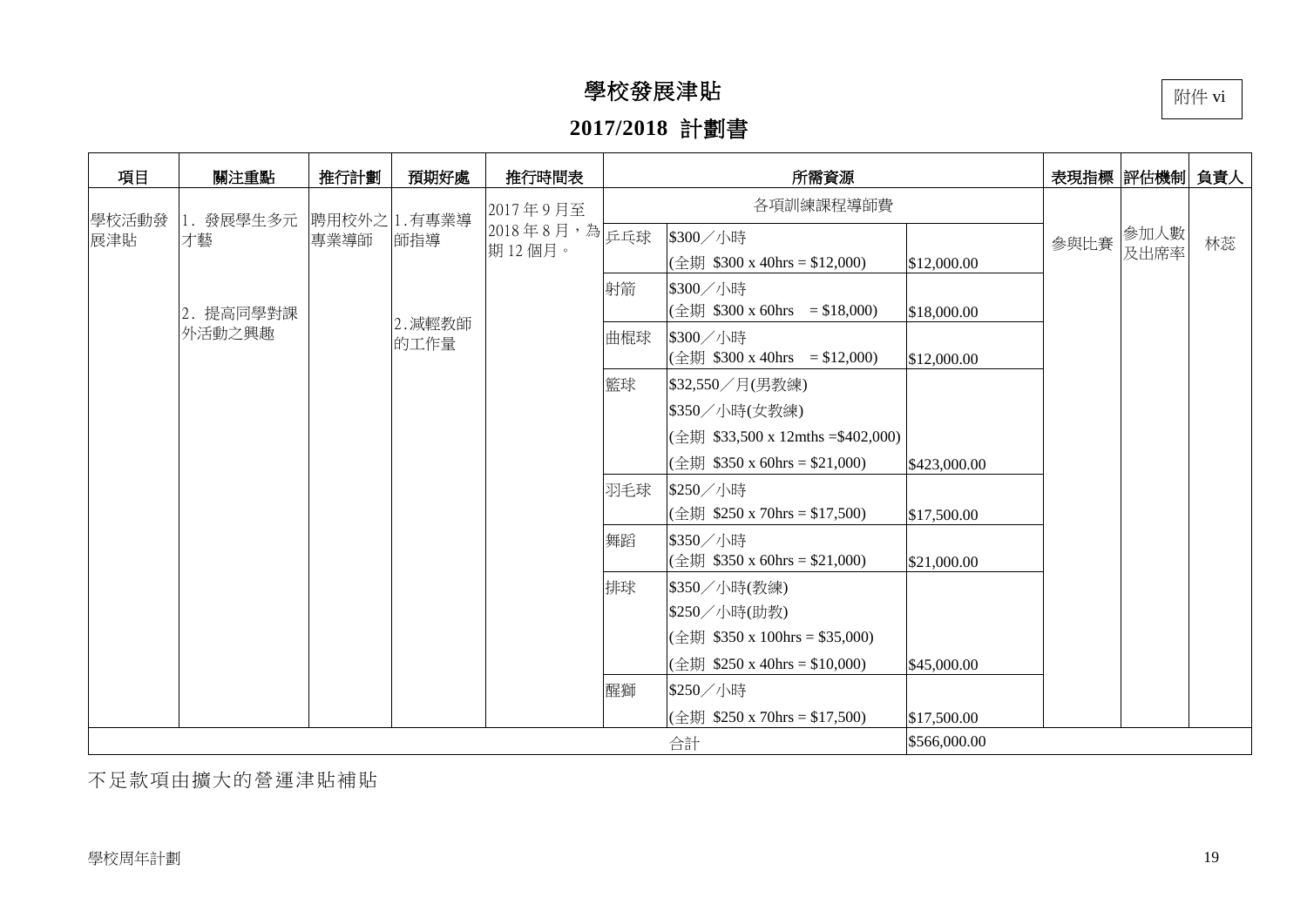# 學校發展津貼

# **2017/2018** 計劃書

| 項目           | 關注重點      | 推行計劃 | 預期好處         | 推行時間表        |     | 所需資源                                                                       | 表現指標  評估機制  負責人 |      |      |    |
|--------------|-----------|------|--------------|--------------|-----|----------------------------------------------------------------------------|-----------------|------|------|----|
|              | 1. 發展學生多元 |      | 聘用校外之 1.有專業導 | 2017年9月至     |     | 各項訓練課程導師費                                                                  |                 |      |      |    |
| 學校活動發<br>展津貼 | 才藝        | 專業導師 | 師指導          | 2018年8月,為乒乓球 |     | \$300/小時                                                                   |                 | 參與比賽 | 參加人數 | 林蕊 |
|              |           |      |              | 期12個月。       |     | $(\triangleq \updownarrow\downarrow\uparrow$ \$300 x 40hrs = \$12,000)     | \$12,000.00     |      | 及出席率 |    |
|              |           |      |              |              | 射箭  | \$300/小時                                                                   |                 |      |      |    |
|              | 2. 提高同學對課 |      | 2. 減輕教師      |              |     | $(\triangleq \updownarrow \parallel$ \$300 x 60hrs = \$18,000)             | \$18,000.00     |      |      |    |
|              | 外活動之興趣    |      | 的工作量         |              | 曲棍球 | \$300/小時                                                                   |                 |      |      |    |
|              |           |      |              |              |     | $(\triangleq \updownarrow \parallel$ \$300 x 40hrs = \$12,000)             | \$12,000.00     |      |      |    |
|              |           |      |              |              | 籃球  | \$32,550/月(男教練)                                                            |                 |      |      |    |
|              |           |      |              |              |     | \$350/小時(女教練)                                                              |                 |      |      |    |
|              |           |      |              |              |     | $(\triangleq \updownarrow\downarrow\uparrow$ \$33,500 x 12mths =\$402,000) |                 |      |      |    |
|              |           |      |              |              |     | (全期 \$350 x 60hrs = \$21,000)                                              | \$423,000.00    |      |      |    |
|              |           |      |              |              | 羽毛球 | \$250/小時                                                                   |                 |      |      |    |
|              |           |      |              |              |     | $(\triangleq \updownarrow \parallel$ \$250 x 70hrs = \$17,500)             | \$17,500.00     |      |      |    |
|              |           |      |              |              | 舞蹈  | \$350/小時                                                                   |                 |      |      |    |
|              |           |      |              |              |     | (全期 \$350 x 60hrs = \$21,000)                                              | \$21,000.00     |      |      |    |
|              |           |      |              |              | 排球  | \$350/小時(教練)                                                               |                 |      |      |    |
|              |           |      |              |              |     | \$250/小時(助教)                                                               |                 |      |      |    |
|              |           |      |              |              |     | $(\triangleq \updownarrow\downarrow\uparrow$ \$350 x 100hrs = \$35,000)    |                 |      |      |    |
|              |           |      |              |              |     | (全期 \$250 x 40hrs = \$10,000)                                              | \$45,000.00     |      |      |    |
|              |           |      |              |              | 醒獅  | \$250/小時                                                                   |                 |      |      |    |
|              |           |      |              |              |     | $(\triangleq \updownarrow\downarrow\uparrow$ \$250 x 70hrs = \$17,500)     | \$17,500.00     |      |      |    |
|              |           |      |              |              |     | 合計                                                                         | \$566,000.00    |      |      |    |

不足款項由擴大的營運津貼補貼

附件 vi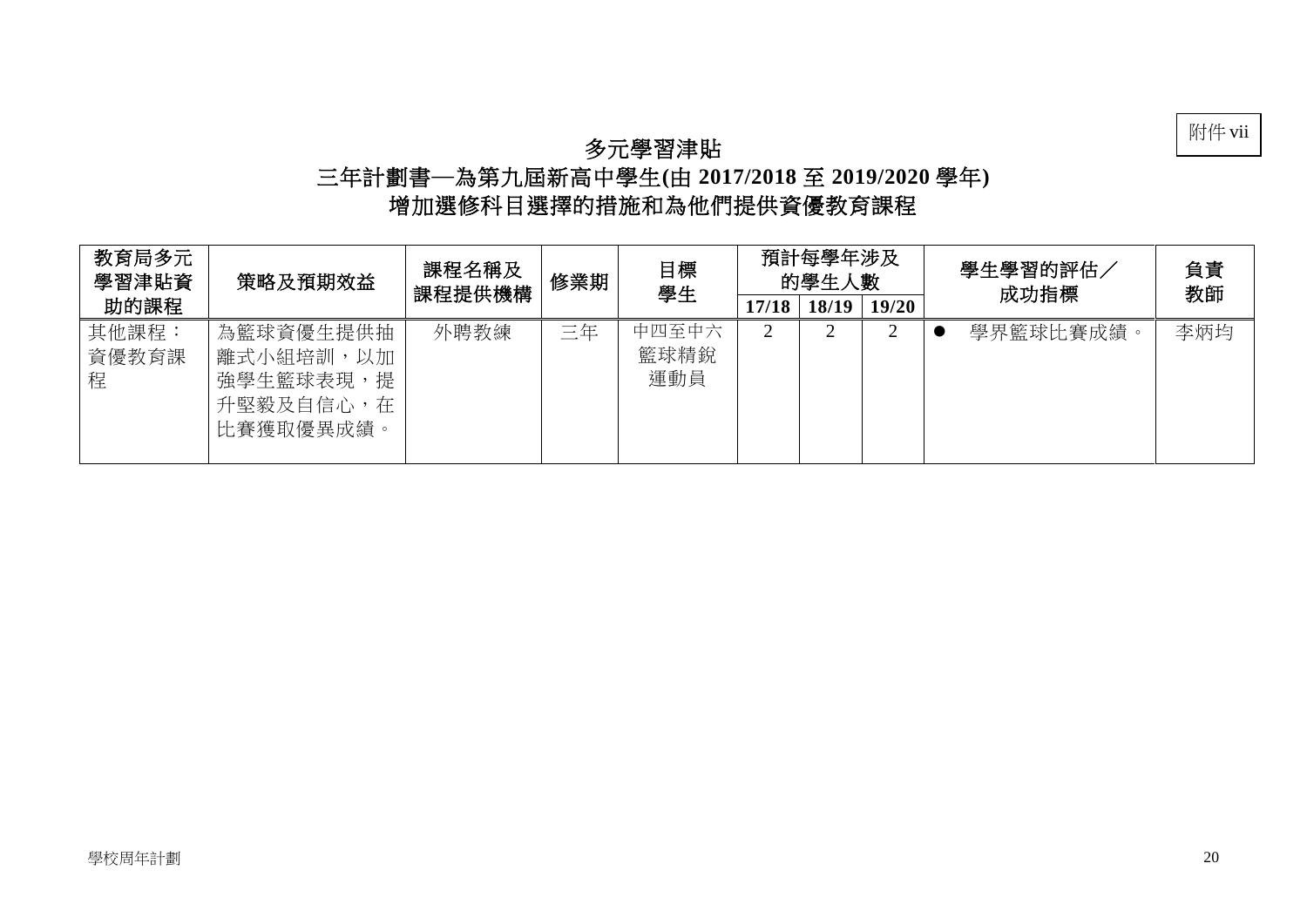## 附件 vii

## 多元學習津貼

## 三年計劃書─為第九屆新高中學生**(**由 **2017/2018** 至 **2019/2020** 學年**)**  增加選修科目選擇的措施和為他們提供資優教育課程

| 教育局多元<br>學習津貼資      | 策略及預期效益                                                              | 課程名稱及<br>課程提供機構 | 修業期 | 目標<br>學生             | 預計每學年涉及<br>的學生人數 |       |       | 學生學習的評估<br>成功指標 | 負責<br>教師 |  |
|---------------------|----------------------------------------------------------------------|-----------------|-----|----------------------|------------------|-------|-------|-----------------|----------|--|
| 助的課程                |                                                                      |                 |     |                      | 17/18            | 18/19 | 19/20 |                 |          |  |
| 其他課程:<br>資優教育課<br>程 | 為籃球資優生提供抽<br>離式小組培訓,以加<br>提<br>強學生籃球表現<br>升堅毅及自信心,<br>在<br>比賽獲取優異成績。 | 外聘教練            | 三年  | 中四至中六<br>籃球精銳<br>運動員 |                  |       |       | 學界籃球比賽成績。       | 李炳均      |  |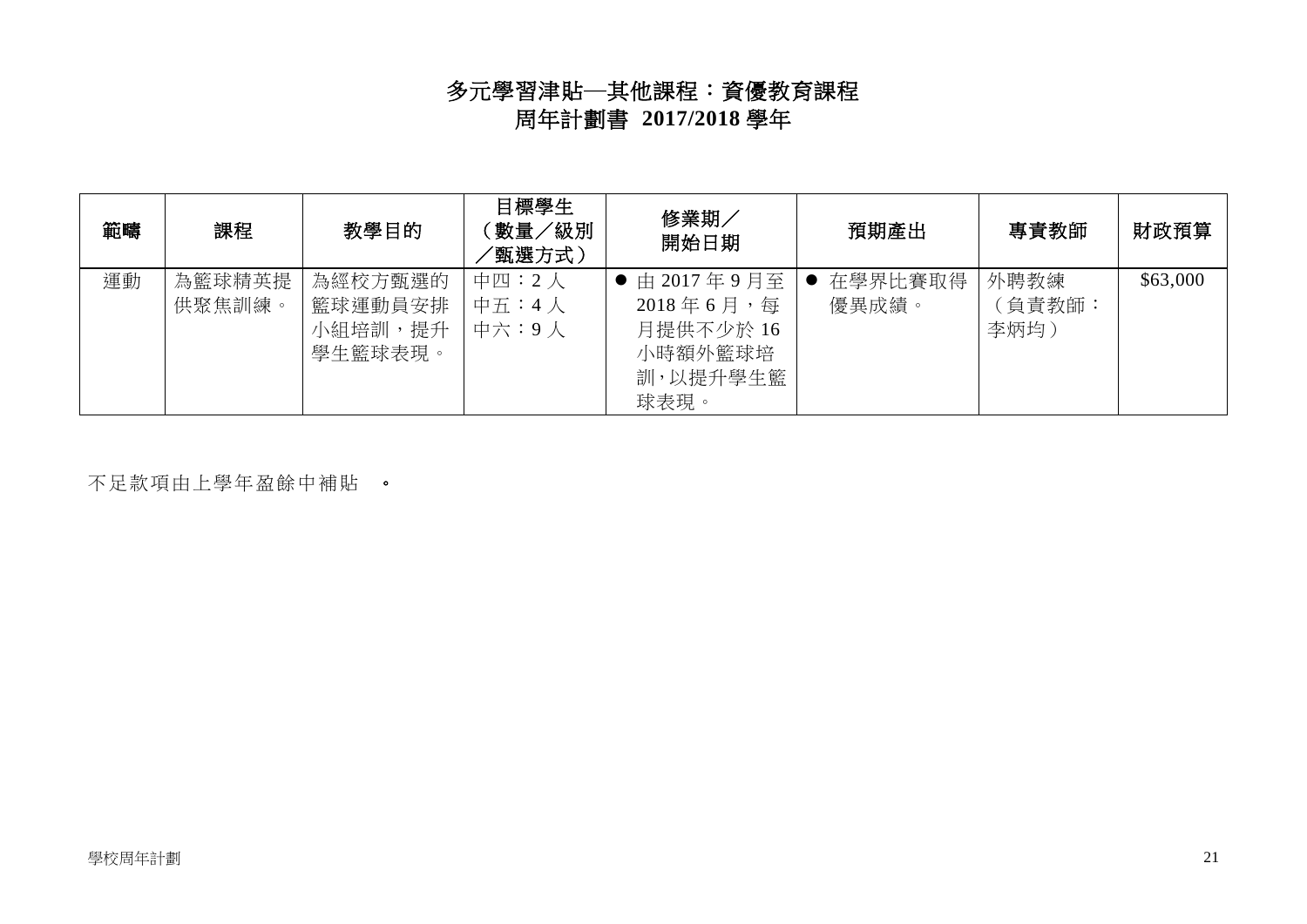## 多元學習津貼─其他課程:資優教育課程 周年計劃書 **2017/2018** 學年

| 範疇 | 課程               | 教學目的                                     | 目標學生<br>數量/級別<br>'甄選方式) | 修業期<br>開始日期                                                                 | 預期產出             | 專責教師                   | 財政預算     |
|----|------------------|------------------------------------------|-------------------------|-----------------------------------------------------------------------------|------------------|------------------------|----------|
| 運動 | 為籃球精英提<br>供聚焦訓練。 | 為經校方甄選的<br>籃球運動員安排<br>小組培訓,提升<br>學生籃球表現。 | 中四:2人<br>中五:4人<br>中六:9人 | ● 由 2017年9月至<br>$2018$ 年 6 月, 每<br>月提供不少於 16<br>小時額外籃球培<br>訓,以提升學生籃<br>球表現。 | 在學界比賽取得<br>優異成績。 | 外聘教練<br>〔負責教師:<br>李炳均) | \$63,000 |

不足款項由上學年盈餘中補貼 。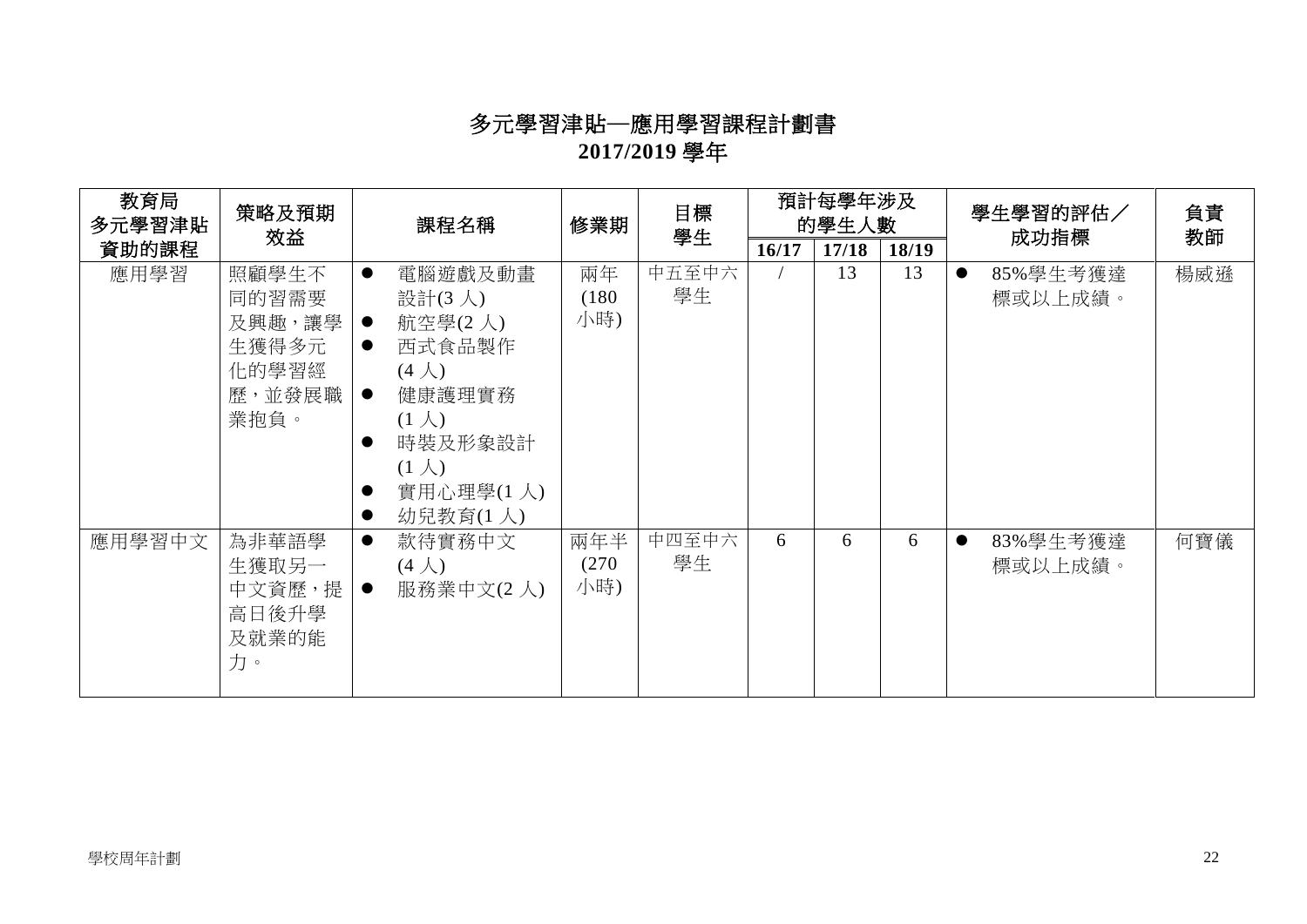# 多元學習津貼─應用學習課程計劃書 **2017/2019** 學年

| 教育局<br>多元學習津貼 | 策略及預期                                                        |                                                               | 課程名稱                                                                                                                                    | 預計每學年涉及<br>目標<br>修業期<br>的學生人數<br>學生<br>成功指標 |             |       |       | 學生學習的評估/ | 負責<br>教師                         |     |
|---------------|--------------------------------------------------------------|---------------------------------------------------------------|-----------------------------------------------------------------------------------------------------------------------------------------|---------------------------------------------|-------------|-------|-------|----------|----------------------------------|-----|
| 資助的課程         | 效益                                                           |                                                               |                                                                                                                                         |                                             |             | 16/17 | 17/18 | 18/19    |                                  |     |
| 應用學習          | 照顧學生不<br>同的習需要<br>及興趣,讓學<br>生獲得多元<br>化的學習經<br>歷,並發展職<br>業抱負。 | $\bullet$<br>$\bullet$<br>$\bullet$<br>$\bullet$<br>$\bullet$ | 電腦遊戲及動畫<br>設計(3人)<br>航空學(2人)<br>西式食品製作<br>$(4 \lambda)$<br>健康護理實務<br>$(1 \lambda)$<br>時裝及形象設計<br>$(1 \lambda)$<br>實用心理學(1人)<br>幼兒教育(1人) | 兩年<br>(180)<br>小時)                          | 中五至中六<br>學生 |       | 13    | 13       | 85%學生考獲達<br>$\bullet$<br>標或以上成績。 | 楊威遜 |
| 應用學習中文        | 為非華語學<br>生獲取另一<br>中文資歷,提<br>高日後升學<br>及就業的能<br>力。             | $\bullet$<br>$\bullet$                                        | 款待實務中文<br>$(4 \lambda)$<br>服務業中文(2人)                                                                                                    | 兩年半<br>(270)<br>小時)                         | 中四至中六<br>學生 | 6     | 6     | 6        | 83%學生考獲達<br>$\bullet$<br>標或以上成績。 | 何寶儀 |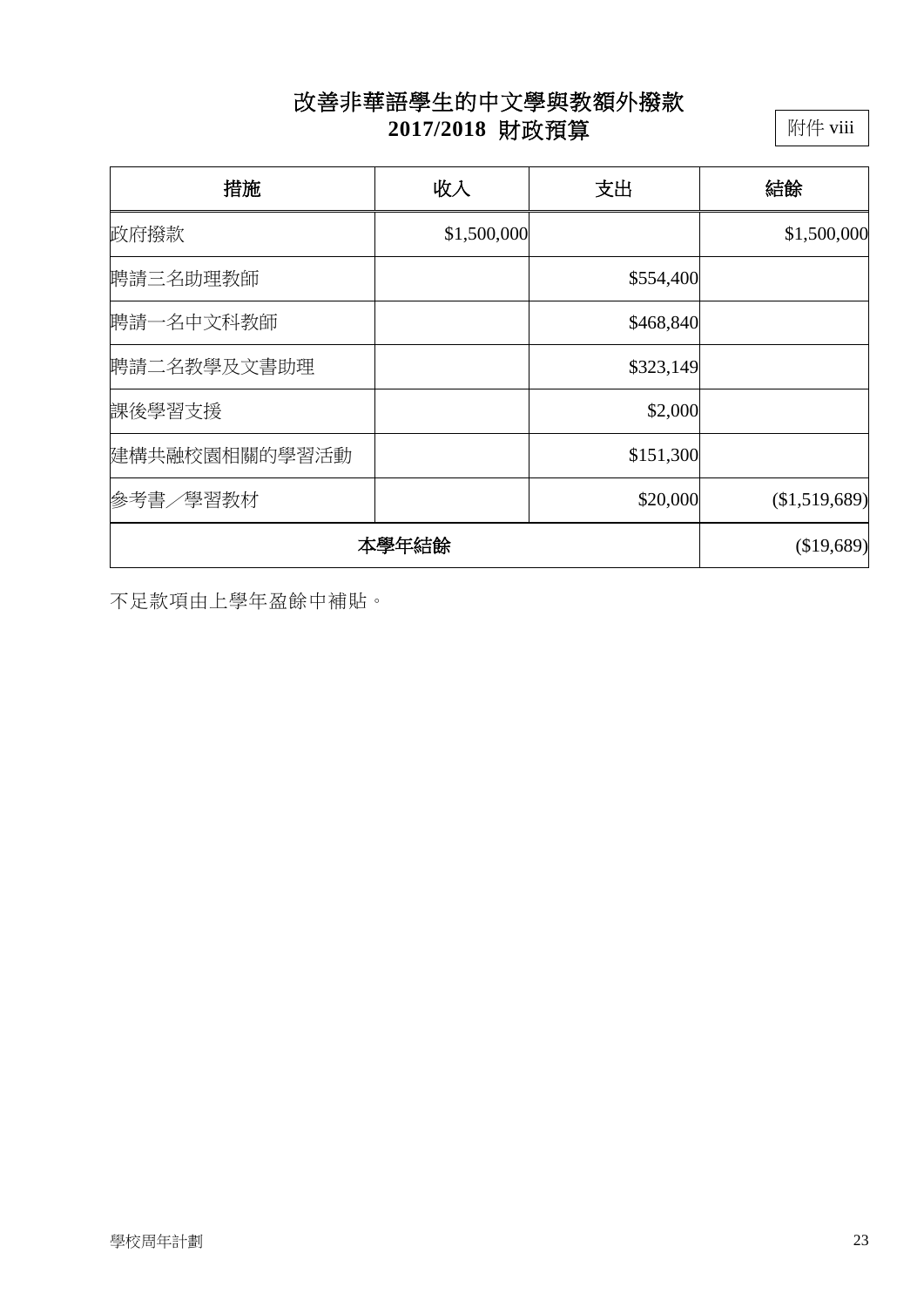## 改善非華語學生的中文學與教額外撥款 **2017/2018** 財政預算

附件 viii

| 措施            | 收入          | 支出        | 結餘            |
|---------------|-------------|-----------|---------------|
| 政府撥款          | \$1,500,000 |           | \$1,500,000   |
| 聘請三名助理教師      |             | \$554,400 |               |
| 聘請一名中文科教師     |             | \$468,840 |               |
| 聘請二名教學及文書助理   |             | \$323,149 |               |
| 課後學習支援        |             | \$2,000   |               |
| 建構共融校園相關的學習活動 |             | \$151,300 |               |
| 参考書/學習教材      |             | \$20,000  | (\$1,519,689) |
| 本學年結餘         | (\$19,689)  |           |               |

不足款項由上學年盈餘中補貼。